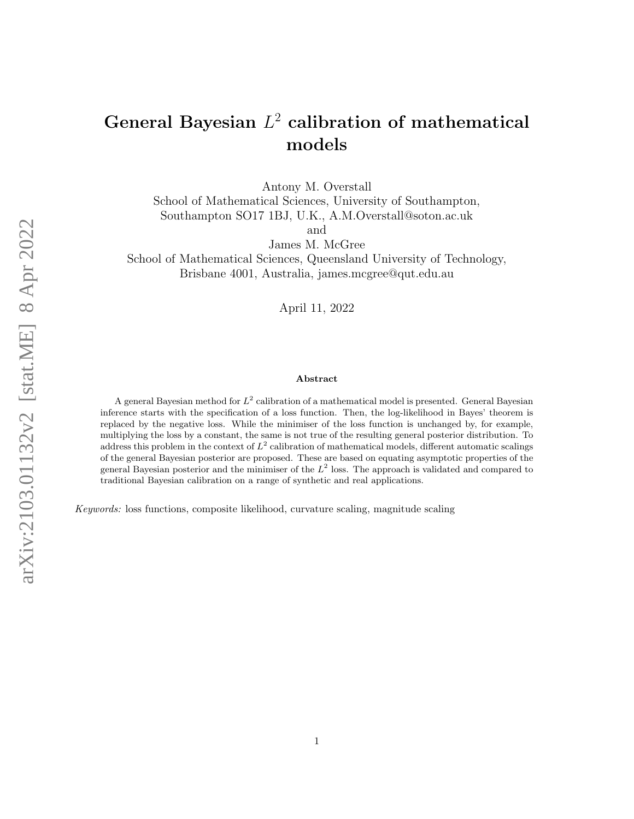# General Bayesian  $L^2$  calibration of mathematical models

Antony M. Overstall

School of Mathematical Sciences, University of Southampton, Southampton SO17 1BJ, U.K., A.M.Overstall@soton.ac.uk

and

James M. McGree

School of Mathematical Sciences, Queensland University of Technology, Brisbane 4001, Australia, james.mcgree@qut.edu.au

April 11, 2022

#### Abstract

A general Bayesian method for  $L^2$  calibration of a mathematical model is presented. General Bayesian inference starts with the specification of a loss function. Then, the log-likelihood in Bayes' theorem is replaced by the negative loss. While the minimiser of the loss function is unchanged by, for example, multiplying the loss by a constant, the same is not true of the resulting general posterior distribution. To address this problem in the context of  $L^2$  calibration of mathematical models, different automatic scalings of the general Bayesian posterior are proposed. These are based on equating asymptotic properties of the general Bayesian posterior and the minimiser of the  $L^2$  loss. The approach is validated and compared to traditional Bayesian calibration on a range of synthetic and real applications.

Keywords: loss functions, composite likelihood, curvature scaling, magnitude scaling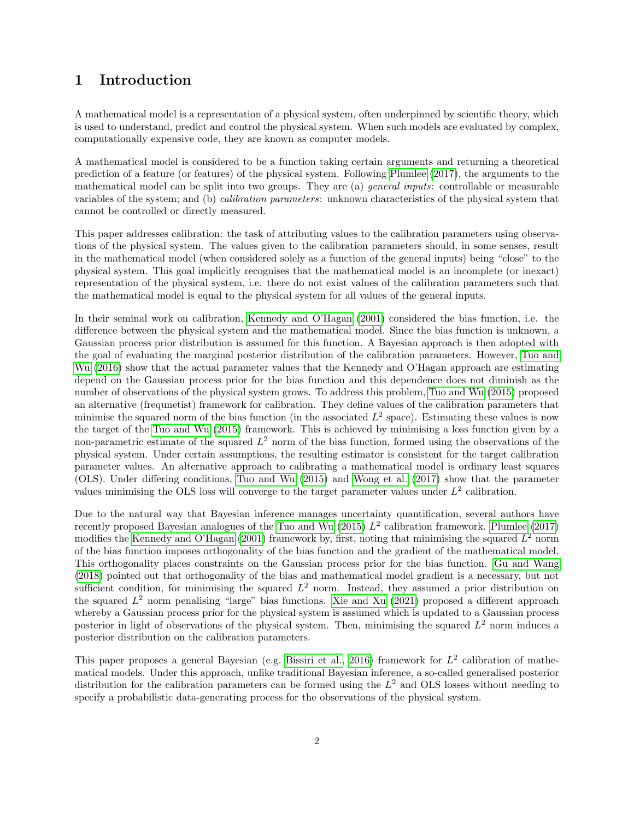# <span id="page-1-0"></span>1 Introduction

A mathematical model is a representation of a physical system, often underpinned by scientific theory, which is used to understand, predict and control the physical system. When such models are evaluated by complex, computationally expensive code, they are known as computer models.

A mathematical model is considered to be a function taking certain arguments and returning a theoretical prediction of a feature (or features) of the physical system. Following [Plumlee \(2017\)](#page-34-0), the arguments to the mathematical model can be split into two groups. They are (a) general inputs: controllable or measurable variables of the system; and (b) calibration parameters: unknown characteristics of the physical system that cannot be controlled or directly measured.

This paper addresses calibration: the task of attributing values to the calibration parameters using observations of the physical system. The values given to the calibration parameters should, in some senses, result in the mathematical model (when considered solely as a function of the general inputs) being "close" to the physical system. This goal implicitly recognises that the mathematical model is an incomplete (or inexact) representation of the physical system, i.e. there do not exist values of the calibration parameters such that the mathematical model is equal to the physical system for all values of the general inputs.

In their seminal work on calibration, [Kennedy and O'Hagan \(2001\)](#page-34-1) considered the bias function, i.e. the difference between the physical system and the mathematical model. Since the bias function is unknown, a Gaussian process prior distribution is assumed for this function. A Bayesian approach is then adopted with the goal of evaluating the marginal posterior distribution of the calibration parameters. However, [Tuo and](#page-34-2) [Wu \(2016\)](#page-34-2) show that the actual parameter values that the Kennedy and O'Hagan approach are estimating depend on the Gaussian process prior for the bias function and this dependence does not diminish as the number of observations of the physical system grows. To address this problem, [Tuo and Wu \(2015\)](#page-34-3) proposed an alternative (frequnetist) framework for calibration. They define values of the calibration parameters that minimise the squared norm of the bias function (in the associated  $L^2$  space). Estimating these values is now the target of the [Tuo and Wu \(2015\)](#page-34-3) framework. This is achieved by minimising a loss function given by a non-parametric estimate of the squared  $L^2$  norm of the bias function, formed using the observations of the physical system. Under certain assumptions, the resulting estimator is consistent for the target calibration parameter values. An alternative approach to calibrating a mathematical model is ordinary least squares (OLS). Under differing conditions, [Tuo and Wu \(2015\)](#page-34-3) and [Wong et al. \(2017\)](#page-35-0) show that the parameter values minimising the OLS loss will converge to the target parameter values under  $L^2$  calibration.

Due to the natural way that Bayesian inference manages uncertainty quantification, several authors have recently proposed Bayesian analogues of the [Tuo and Wu \(2015\)](#page-34-3)  $L^2$  calibration framework. [Plumlee \(2017\)](#page-34-0) modifies the [Kennedy and O'Hagan \(2001\)](#page-34-1) framework by, first, noting that minimising the squared  $L^2$  norm of the bias function imposes orthogonality of the bias function and the gradient of the mathematical model. This orthogonality places constraints on the Gaussian process prior for the bias function. [Gu and Wang](#page-34-4) [\(2018\)](#page-34-4) pointed out that orthogonality of the bias and mathematical model gradient is a necessary, but not sufficient condition, for minimising the squared  $L^2$  norm. Instead, they assumed a prior distribution on the squared  $L^2$  norm penalising "large" bias functions. [Xie and Xu \(2021\)](#page-35-1) proposed a different approach whereby a Gaussian process prior for the physical system is assumed which is updated to a Gaussian process posterior in light of observations of the physical system. Then, minimising the squared  $L^2$  norm induces a posterior distribution on the calibration parameters.

This paper proposes a general Bayesian (e.g. [Bissiri et al., 2016\)](#page-34-5) framework for  $L^2$  calibration of mathematical models. Under this approach, unlike traditional Bayesian inference, a so-called generalised posterior distribution for the calibration parameters can be formed using the  $L^2$  and OLS losses without needing to specify a probabilistic data-generating process for the observations of the physical system.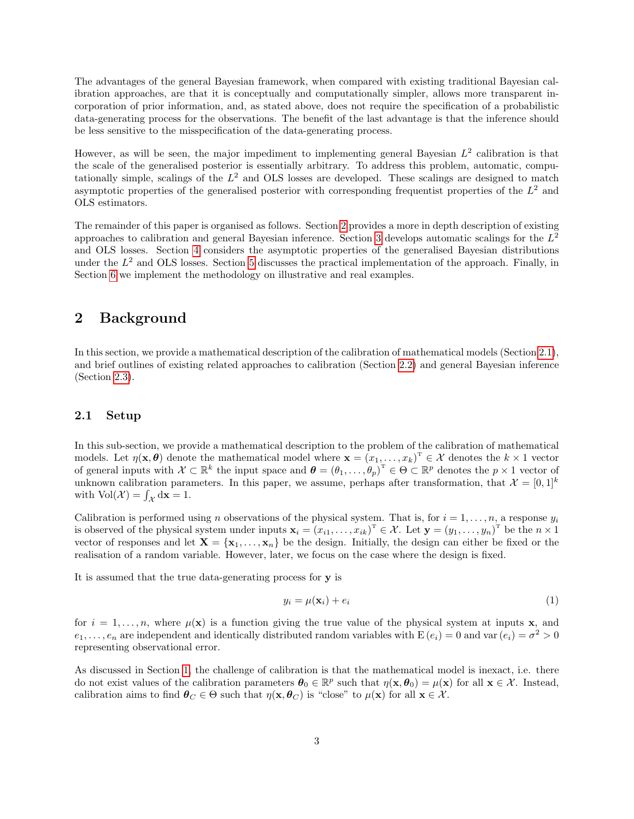The advantages of the general Bayesian framework, when compared with existing traditional Bayesian calibration approaches, are that it is conceptually and computationally simpler, allows more transparent incorporation of prior information, and, as stated above, does not require the specification of a probabilistic data-generating process for the observations. The benefit of the last advantage is that the inference should be less sensitive to the misspecification of the data-generating process.

However, as will be seen, the major impediment to implementing general Bayesian  $L^2$  calibration is that the scale of the generalised posterior is essentially arbitrary. To address this problem, automatic, computationally simple, scalings of the  $L^2$  and OLS losses are developed. These scalings are designed to match asymptotic properties of the generalised posterior with corresponding frequentist properties of the  $L^2$  and OLS estimators.

The remainder of this paper is organised as follows. Section [2](#page-2-0) provides a more in depth description of existing approaches to calibration and general Bayesian inference. Section [3](#page-7-0) develops automatic scalings for the  $L^2$ and OLS losses. Section [4](#page-16-0) considers the asymptotic properties of the generalised Bayesian distributions under the  $L^2$  and OLS losses. Section [5](#page-18-0) discusses the practical implementation of the approach. Finally, in Section [6](#page-20-0) we implement the methodology on illustrative and real examples.

# <span id="page-2-0"></span>2 Background

In this section, we provide a mathematical description of the calibration of mathematical models (Section [2.1\)](#page-2-1), and brief outlines of existing related approaches to calibration (Section [2.2\)](#page-3-0) and general Bayesian inference (Section [2.3\)](#page-6-0).

# <span id="page-2-1"></span>2.1 Setup

In this sub-section, we provide a mathematical description to the problem of the calibration of mathematical models. Let  $\eta(\mathbf{x}, \theta)$  denote the mathematical model where  $\mathbf{x} = (x_1, \dots, x_k)^T \in \mathcal{X}$  denotes the  $k \times 1$  vector of general inputs with  $\mathcal{X} \subset \mathbb{R}^k$  the input space and  $\boldsymbol{\theta} = (\theta_1, \ldots, \theta_p)^T \in \Theta \subset \mathbb{R}^p$  denotes the  $p \times 1$  vector of unknown calibration parameters. In this paper, we assume, perhaps after transformation, that  $\mathcal{X} = [0,1]^k$ with  $\text{Vol}(\mathcal{X}) = \int_{\mathcal{X}} d\mathbf{x} = 1.$ 

Calibration is performed using n observations of the physical system. That is, for  $i = 1, \ldots, n$ , a response  $y_i$ is observed of the physical system under inputs  $\mathbf{x}_i = (x_{i1}, \dots, x_{ik})^\mathrm{T} \in \mathcal{X}$ . Let  $\mathbf{y} = (y_1, \dots, y_n)^\mathrm{T}$  be the  $n \times 1$ vector of responses and let  $X = \{x_1, \ldots, x_n\}$  be the design. Initially, the design can either be fixed or the realisation of a random variable. However, later, we focus on the case where the design is fixed.

It is assumed that the true data-generating process for y is

<span id="page-2-2"></span>
$$
y_i = \mu(\mathbf{x}_i) + e_i \tag{1}
$$

for  $i = 1, \ldots, n$ , where  $\mu(\mathbf{x})$  is a function giving the true value of the physical system at inputs **x**, and  $e_1, \ldots, e_n$  are independent and identically distributed random variables with  $E(e_i) = 0$  and var $(e_i) = \sigma^2 > 0$ representing observational error.

As discussed in Section [1,](#page-1-0) the challenge of calibration is that the mathematical model is inexact, i.e. there do not exist values of the calibration parameters  $\theta_0 \in \mathbb{R}^p$  such that  $\eta(\mathbf{x}, \theta_0) = \mu(\mathbf{x})$  for all  $\mathbf{x} \in \mathcal{X}$ . Instead, calibration aims to find  $\theta_C \in \Theta$  such that  $\eta(\mathbf{x}, \theta_C)$  is "close" to  $\mu(\mathbf{x})$  for all  $\mathbf{x} \in \mathcal{X}$ .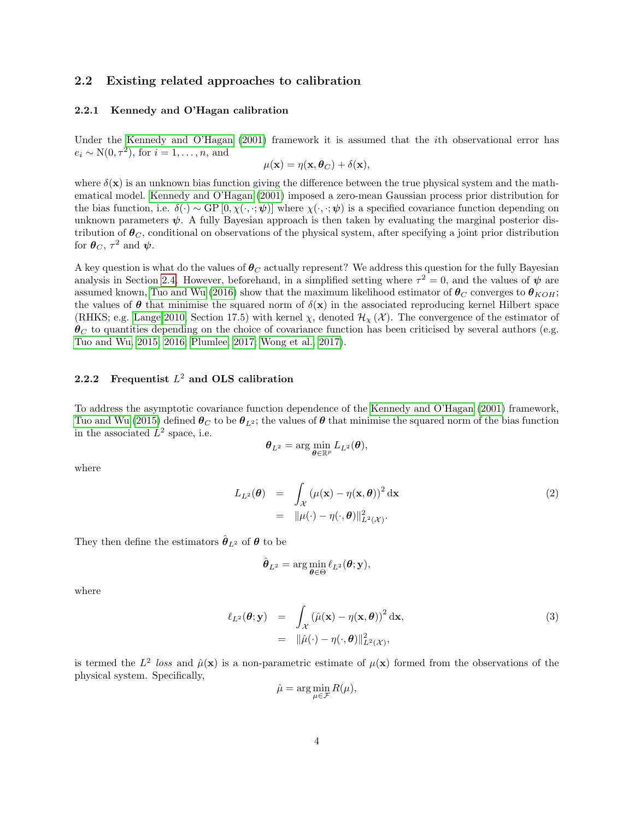### <span id="page-3-0"></span>2.2 Existing related approaches to calibration

# 2.2.1 Kennedy and O'Hagan calibration

Under the [Kennedy and O'Hagan \(2001\)](#page-34-1) framework it is assumed that the *i*th observational error has  $e_i \sim \mathcal{N}(0, \tau^2)$ , for  $i = 1, \ldots, n$ , and

$$
\mu(\mathbf{x}) = \eta(\mathbf{x}, \boldsymbol{\theta}_C) + \delta(\mathbf{x}),
$$

where  $\delta(\mathbf{x})$  is an unknown bias function giving the difference between the true physical system and the mathematical model. [Kennedy and O'Hagan \(2001\)](#page-34-1) imposed a zero-mean Gaussian process prior distribution for the bias function, i.e.  $\delta(\cdot) \sim GP[0, \chi(\cdot, \cdot; \psi)]$  where  $\chi(\cdot, \cdot; \psi)$  is a specified covariance function depending on unknown parameters  $\psi$ . A fully Bayesian approach is then taken by evaluating the marginal posterior distribution of  $\theta_C$ , conditional on observations of the physical system, after specifying a joint prior distribution for  $\boldsymbol{\theta}_C, \tau^2$  and  $\boldsymbol{\psi}$ .

A key question is what do the values of  $\theta_C$  actually represent? We address this question for the fully Bayesian analysis in Section [2.4.](#page-7-1) However, beforehand, in a simplified setting where  $\tau^2 = 0$ , and the values of  $\psi$  are assumed known, [Tuo and Wu \(2016\)](#page-34-2) show that the maximum likelihood estimator of  $\theta_C$  converges to  $\theta_{KOH}$ ; the values of  $\theta$  that minimise the squared norm of  $\delta(\mathbf{x})$  in the associated reproducing kernel Hilbert space (RHKS; e.g. [Lange 2010,](#page-34-6) Section 17.5) with kernel  $\chi$ , denoted  $\mathcal{H}_{\chi}(\mathcal{X})$ . The convergence of the estimator of  $\theta_C$  to quantities depending on the choice of covariance function has been criticised by several authors (e.g. [Tuo and Wu, 2015,](#page-34-3) [2016;](#page-34-2) [Plumlee, 2017;](#page-34-0) [Wong et al., 2017\)](#page-35-0).

# <span id="page-3-2"></span>2.2.2 Frequentist  $L^2$  and OLS calibration

To address the asymptotic covariance function dependence of the [Kennedy and O'Hagan \(2001\)](#page-34-1) framework, [Tuo and Wu \(2015\)](#page-34-3) defined  $\theta_C$  to be  $\theta_{L^2}$ ; the values of  $\theta$  that minimise the squared norm of the bias function in the associated  $L^2$  space, i.e.

$$
\boldsymbol{\theta}_{L^2} = \arg\min_{\boldsymbol{\theta}\in\mathbb{R}^p} L_{L^2}(\boldsymbol{\theta}),
$$

where

<span id="page-3-1"></span>
$$
L_{L^2}(\boldsymbol{\theta}) = \int_{\mathcal{X}} (\mu(\mathbf{x}) - \eta(\mathbf{x}, \boldsymbol{\theta}))^2 d\mathbf{x}
$$
  
=  $\|\mu(\cdot) - \eta(\cdot, \boldsymbol{\theta})\|_{L^2(\mathcal{X})}^2.$  (2)

They then define the estimators  $\hat{\boldsymbol{\theta}}_{L^2}$  of  $\boldsymbol{\theta}$  to be

$$
\hat{\boldsymbol{\theta}}_{L^2} = \arg\min_{\boldsymbol{\theta}\in\Theta} \ell_{L^2}(\boldsymbol{\theta}; \mathbf{y}),
$$

where

<span id="page-3-3"></span>
$$
\ell_{L^2}(\boldsymbol{\theta}; \mathbf{y}) = \int_{\mathcal{X}} (\hat{\mu}(\mathbf{x}) - \eta(\mathbf{x}, \boldsymbol{\theta}))^2 d\mathbf{x},
$$
  
\n
$$
= \|\hat{\mu}(\cdot) - \eta(\cdot, \boldsymbol{\theta})\|_{L^2(\mathcal{X})}^2,
$$
\n(3)

is termed the  $L^2$  loss and  $\hat{\mu}(\mathbf{x})$  is a non-parametric estimate of  $\mu(\mathbf{x})$  formed from the observations of the physical system. Specifically,

$$
\hat{\mu} = \arg\min_{\mu \in \mathcal{F}} R(\mu),
$$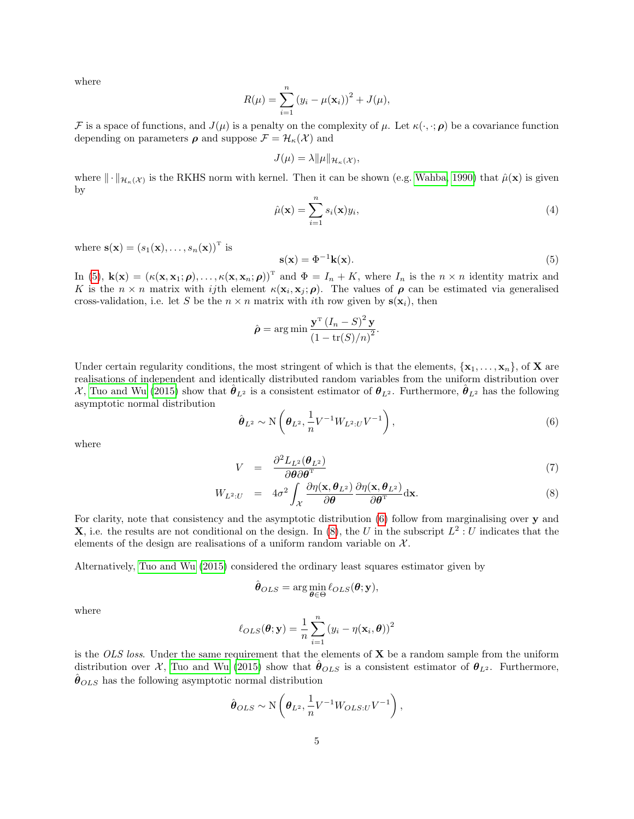where

$$
R(\mu) = \sum_{i=1}^{n} (y_i - \mu(\mathbf{x}_i))^2 + J(\mu),
$$

F is a space of functions, and  $J(\mu)$  is a penalty on the complexity of  $\mu$ . Let  $\kappa(\cdot, \cdot; \rho)$  be a covariance function depending on parameters  $\rho$  and suppose  $\mathcal{F} = \mathcal{H}_{\kappa}(\mathcal{X})$  and

$$
J(\mu) = \lambda \|\mu\|_{\mathcal{H}_{\kappa}(\mathcal{X})},
$$

where  $\|\cdot\|_{\mathcal{H}_{\kappa}(\mathcal{X})}$  is the RKHS norm with kernel. Then it can be shown (e.g. [Wahba, 1990\)](#page-34-7) that  $\hat{\mu}(\mathbf{x})$  is given by

<span id="page-4-3"></span>
$$
\hat{\mu}(\mathbf{x}) = \sum_{i=1}^{n} s_i(\mathbf{x}) y_i,
$$
\n(4)

where  $\mathbf{s}(\mathbf{x}) = (s_1(\mathbf{x}), \dots, s_n(\mathbf{x}))^T$  is

<span id="page-4-0"></span>
$$
\mathbf{s}(\mathbf{x}) = \Phi^{-1}\mathbf{k}(\mathbf{x}).\tag{5}
$$

In [\(5\)](#page-4-0),  $\mathbf{k}(\mathbf{x}) = (\kappa(\mathbf{x}, \mathbf{x}_1; \boldsymbol{\rho}), \dots, \kappa(\mathbf{x}, \mathbf{x}_n; \boldsymbol{\rho}))^{\mathrm{T}}$  and  $\Phi = I_n + K$ , where  $I_n$  is the  $n \times n$  identity matrix and K is the  $n \times n$  matrix with ijth element  $\kappa(\mathbf{x}_i, \mathbf{x}_j; \rho)$ . The values of  $\rho$  can be estimated via generalised cross-validation, i.e. let S be the  $n \times n$  matrix with *i*th row given by  $s(x_i)$ , then

$$
\hat{\rho} = \arg\min \frac{\mathbf{y}^{\mathrm{T}} \left(I_n - S\right)^2 \mathbf{y}}{\left(1 - \text{tr}(S)/n\right)^2}.
$$

Under certain regularity conditions, the most stringent of which is that the elements,  $\{x_1, \ldots, x_n\}$ , of **X** are realisations of independent and identically distributed random variables from the uniform distribution over X, [Tuo and Wu \(2015\)](#page-34-3) show that  $\hat{\theta}_{L^2}$  is a consistent estimator of  $\theta_{L^2}$ . Furthermore,  $\hat{\theta}_{L^2}$  has the following asymptotic normal distribution

<span id="page-4-1"></span>
$$
\hat{\boldsymbol{\theta}}_{L^2} \sim \mathcal{N}\left(\boldsymbol{\theta}_{L^2}, \frac{1}{n}V^{-1}W_{L^2:U}V^{-1}\right),\tag{6}
$$

where

<span id="page-4-2"></span>
$$
V = \frac{\partial^2 L_{L^2}(\theta_{L^2})}{\partial \theta \partial \theta^{\mathrm{T}}} \tag{7}
$$

$$
W_{L^2:U} = 4\sigma^2 \int_{\mathcal{X}} \frac{\partial \eta(\mathbf{x}, \boldsymbol{\theta}_{L^2})}{\partial \boldsymbol{\theta}} \frac{\partial \eta(\mathbf{x}, \boldsymbol{\theta}_{L^2})}{\partial \boldsymbol{\theta}^T} d\mathbf{x}.
$$
 (8)

For clarity, note that consistency and the asymptotic distribution [\(6\)](#page-4-1) follow from marginalising over  $\bf{v}$  and **X**, i.e. the results are not conditional on the design. In [\(8\)](#page-4-2), the U in the subscript  $L^2: U$  indicates that the elements of the design are realisations of a uniform random variable on  $X$ .

Alternatively, [Tuo and Wu \(2015\)](#page-34-3) considered the ordinary least squares estimator given by

$$
\hat{\boldsymbol{\theta}}_{OLS} = \arg\min_{\boldsymbol{\theta} \in \Theta} \ell_{OLS}(\boldsymbol{\theta}; \mathbf{y}),
$$

where

$$
\ell_{OLS}(\boldsymbol{\theta}; \mathbf{y}) = \frac{1}{n} \sum_{i=1}^{n} (y_i - \eta(\mathbf{x}_i, \boldsymbol{\theta}))^2
$$

is the OLS loss. Under the same requirement that the elements of  $X$  be a random sample from the uniform distribution over X, [Tuo and Wu \(2015\)](#page-34-3) show that  $\hat{\theta}_{OLS}$  is a consistent estimator of  $\theta_{L^2}$ . Furthermore,  $\hat{\theta}_{OLS}$  has the following asymptotic normal distribution

$$
\hat{\boldsymbol{\theta}}_{OLS} \sim \mathcal{N}\left(\boldsymbol{\theta}_{L^2}, \frac{1}{n}V^{-1}W_{OLS:U}V^{-1}\right),\,
$$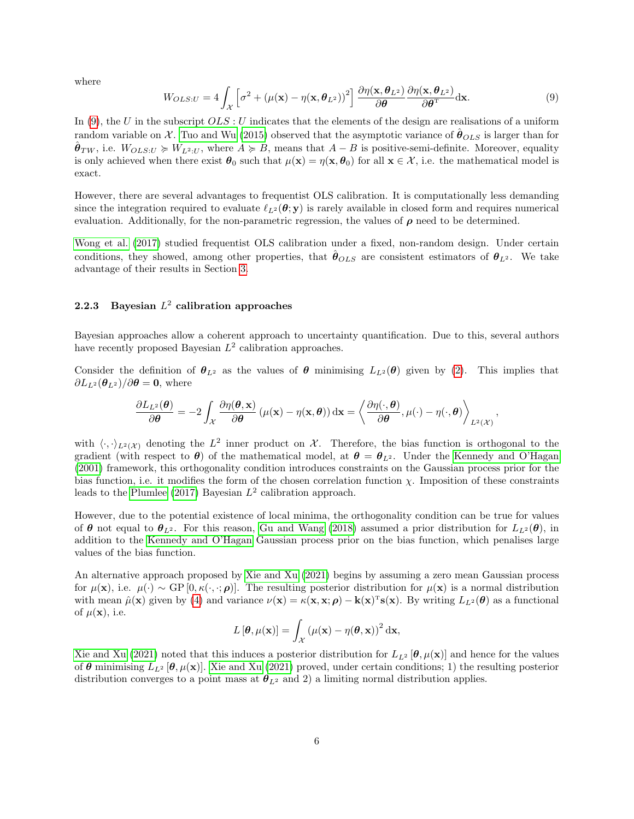where

<span id="page-5-0"></span>
$$
W_{OLS:U} = 4\int_{\mathcal{X}} \left[\sigma^2 + (\mu(\mathbf{x}) - \eta(\mathbf{x}, \boldsymbol{\theta}_{L^2}))^2\right] \frac{\partial \eta(\mathbf{x}, \boldsymbol{\theta}_{L^2})}{\partial \boldsymbol{\theta}} \frac{\partial \eta(\mathbf{x}, \boldsymbol{\theta}_{L^2})}{\partial \boldsymbol{\theta}^{\mathrm{T}}} d\mathbf{x}.
$$
 (9)

In [\(9\)](#page-5-0), the U in the subscript  $OLS: U$  indicates that the elements of the design are realisations of a uniform random variable on X. [Tuo and Wu \(2015\)](#page-34-3) observed that the asymptotic variance of  $\hat{\theta}_{OLS}$  is larger than for  $\hat{\theta}_{TW}$ , i.e.  $W_{OLS;U} \succcurlyeq W_{L^2;U}$ , where  $A \succcurlyeq B$ , means that  $A - B$  is positive-semi-definite. Moreover, equality is only achieved when there exist  $\theta_0$  such that  $\mu(\mathbf{x}) = \eta(\mathbf{x}, \theta_0)$  for all  $\mathbf{x} \in \mathcal{X}$ , i.e. the mathematical model is exact.

However, there are several advantages to frequentist OLS calibration. It is computationally less demanding since the integration required to evaluate  $\ell_{L^2}(\theta; y)$  is rarely available in closed form and requires numerical evaluation. Additionally, for the non-parametric regression, the values of  $\rho$  need to be determined.

[Wong et al. \(2017\)](#page-35-0) studied frequentist OLS calibration under a fixed, non-random design. Under certain conditions, they showed, among other properties, that  $\hat{\theta}_{OLS}$  are consistent estimators of  $\theta_{L^2}$ . We take advantage of their results in Section [3.](#page-7-0)

# 2.2.3 Bayesian  $L^2$  calibration approaches

Bayesian approaches allow a coherent approach to uncertainty quantification. Due to this, several authors have recently proposed Bayesian  $L^2$  calibration approaches.

Consider the definition of  $\theta_{L^2}$  as the values of  $\theta$  minimising  $L_{L^2}(\theta)$  given by [\(2\)](#page-3-1). This implies that  $\partial L_{L^2}(\boldsymbol{\theta}_{L^2})/\partial \boldsymbol{\theta} = \mathbf{0}$ , where

$$
\frac{\partial L_{L^2}(\boldsymbol{\theta})}{\partial \boldsymbol{\theta}} = -2 \int_{\mathcal{X}} \frac{\partial \eta(\boldsymbol{\theta}, \mathbf{x})}{\partial \boldsymbol{\theta}} \left( \mu(\mathbf{x}) - \eta(\mathbf{x}, \boldsymbol{\theta}) \right) d\mathbf{x} = \left\langle \frac{\partial \eta(\cdot, \boldsymbol{\theta})}{\partial \boldsymbol{\theta}}, \mu(\cdot) - \eta(\cdot, \boldsymbol{\theta}) \right\rangle_{L^2(\mathcal{X})}
$$

,

with  $\langle \cdot, \cdot \rangle_{L^2(\mathcal{X})}$  denoting the  $L^2$  inner product on X. Therefore, the bias function is orthogonal to the gradient (with respect to  $\theta$ ) of the mathematical model, at  $\theta = \theta_{L^2}$ . Under the [Kennedy and O'Hagan](#page-34-1) [\(2001\)](#page-34-1) framework, this orthogonality condition introduces constraints on the Gaussian process prior for the bias function, i.e. it modifies the form of the chosen correlation function  $\chi$ . Imposition of these constraints leads to the [Plumlee \(2017\)](#page-34-0) Bayesian  $L^2$  calibration approach.

However, due to the potential existence of local minima, the orthogonality condition can be true for values of  $\theta$  not equal to  $\theta_{L^2}$ . For this reason, [Gu and Wang \(2018\)](#page-34-4) assumed a prior distribution for  $L_{L^2}(\theta)$ , in addition to the [Kennedy and O'Hagan](#page-34-1) Gaussian process prior on the bias function, which penalises large values of the bias function.

An alternative approach proposed by [Xie and Xu \(2021\)](#page-35-1) begins by assuming a zero mean Gaussian process for  $\mu(\mathbf{x})$ , i.e.  $\mu(\cdot) \sim GP[0, \kappa(\cdot, \cdot; \boldsymbol{\rho})]$ . The resulting posterior distribution for  $\mu(\mathbf{x})$  is a normal distribution with mean  $\hat{\mu}(\mathbf{x})$  given by [\(4\)](#page-4-3) and variance  $\nu(\mathbf{x}) = \kappa(\mathbf{x}, \mathbf{x}; \boldsymbol{\rho}) - \mathbf{k}(\mathbf{x})^T \mathbf{s}(\mathbf{x})$ . By writing  $L_{L^2}(\boldsymbol{\theta})$  as a functional of  $\mu(\mathbf{x})$ , i.e.

$$
L[\boldsymbol{\theta}, \mu(\mathbf{x})] = \int_{\mathcal{X}} (\mu(\mathbf{x}) - \eta(\boldsymbol{\theta}, \mathbf{x}))^{2} d\mathbf{x},
$$

[Xie and Xu \(2021\)](#page-35-1) noted that this induces a posterior distribution for  $L_{L^2}[\theta, \mu(\mathbf{x})]$  and hence for the values of  $\theta$  minimising  $L_{L^2}[\theta, \mu(\mathbf{x})]$ . [Xie and Xu \(2021\)](#page-35-1) proved, under certain conditions; 1) the resulting posterior distribution converges to a point mass at  $\theta_{L^2}$  and 2) a limiting normal distribution applies.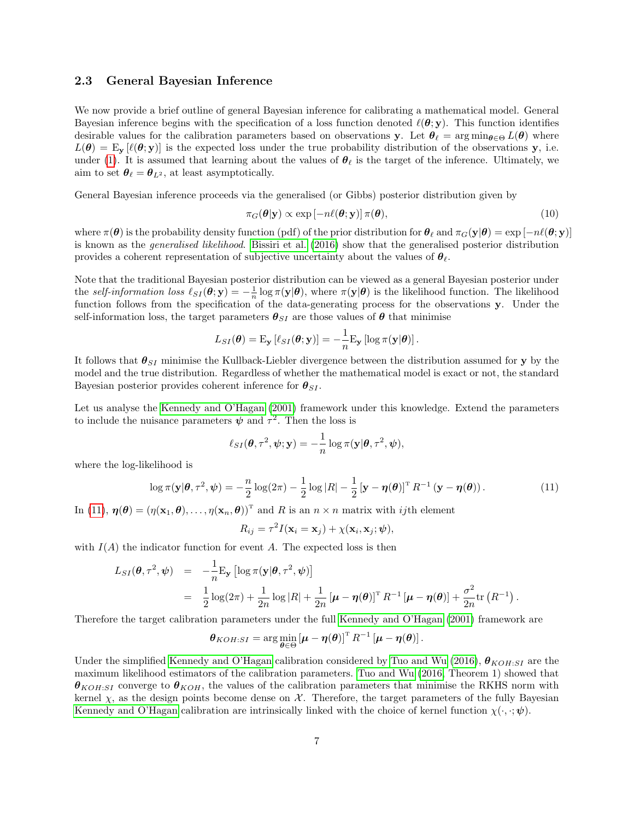### <span id="page-6-0"></span>2.3 General Bayesian Inference

We now provide a brief outline of general Bayesian inference for calibrating a mathematical model. General Bayesian inference begins with the specification of a loss function denoted  $\ell(\theta; y)$ . This function identifies desirable values for the calibration parameters based on observations y. Let  $\theta_{\ell} = \arg \min_{\theta \in \Theta} L(\theta)$  where  $L(\theta) = \mathbb{E}_{\mathbf{y}}[\ell(\theta; \mathbf{y})]$  is the expected loss under the true probability distribution of the observations y, i.e. under [\(1\)](#page-2-2). It is assumed that learning about the values of  $\theta_\ell$  is the target of the inference. Ultimately, we aim to set  $\theta_{\ell} = \theta_{L^2}$ , at least asymptotically.

General Bayesian inference proceeds via the generalised (or Gibbs) posterior distribution given by

$$
\pi_G(\boldsymbol{\theta}|\mathbf{y}) \propto \exp\left[-n\ell(\boldsymbol{\theta}; \mathbf{y})\right] \pi(\boldsymbol{\theta}),\tag{10}
$$

where  $\pi(\theta)$  is the probability density function (pdf) of the prior distribution for  $\theta_\ell$  and  $\pi_G(\mathbf{y}|\theta) = \exp \left[-n\ell(\theta; \mathbf{y})\right]$ is known as the generalised likelihood. [Bissiri et al. \(2016\)](#page-34-5) show that the generalised posterior distribution provides a coherent representation of subjective uncertainty about the values of  $\theta_{\ell}$ .

Note that the traditional Bayesian posterior distribution can be viewed as a general Bayesian posterior under the self-information loss  $\ell_{SI}(\theta; y) = -\frac{1}{n} \log \pi(y|\theta)$ , where  $\pi(y|\theta)$  is the likelihood function. The likelihood function follows from the specification of the data-generating process for the observations y. Under the self-information loss, the target parameters  $\theta_{SI}$  are those values of  $\theta$  that minimise

$$
L_{SI}(\boldsymbol{\theta}) = \mathrm{E}_{\mathbf{y}} \left[ \ell_{SI}(\boldsymbol{\theta}; \mathbf{y}) \right] = -\frac{1}{n} \mathrm{E}_{\mathbf{y}} \left[ \log \pi(\mathbf{y} | \boldsymbol{\theta}) \right].
$$

It follows that  $\theta_{SI}$  minimise the Kullback-Liebler divergence between the distribution assumed for y by the model and the true distribution. Regardless of whether the mathematical model is exact or not, the standard Bayesian posterior provides coherent inference for  $\theta_{SI}$ .

Let us analyse the [Kennedy and O'Hagan \(2001\)](#page-34-1) framework under this knowledge. Extend the parameters to include the nuisance parameters  $\psi$  and  $\tau^2$ . Then the loss is

$$
\ell_{SI}(\boldsymbol{\theta}, \tau^2, \boldsymbol{\psi}; \mathbf{y}) = -\frac{1}{n} \log \pi(\mathbf{y}|\boldsymbol{\theta}, \tau^2, \boldsymbol{\psi}),
$$

where the log-likelihood is

<span id="page-6-1"></span>
$$
\log \pi(\mathbf{y}|\boldsymbol{\theta}, \tau^2, \boldsymbol{\psi}) = -\frac{n}{2} \log(2\pi) - \frac{1}{2} \log |R| - \frac{1}{2} \left[ \mathbf{y} - \boldsymbol{\eta}(\boldsymbol{\theta}) \right]^{\mathrm{T}} R^{-1} \left( \mathbf{y} - \boldsymbol{\eta}(\boldsymbol{\theta}) \right). \tag{11}
$$

In [\(11\)](#page-6-1),  $\boldsymbol{\eta}(\boldsymbol{\theta}) = (\eta(\mathbf{x}_1, \boldsymbol{\theta}), \dots, \eta(\mathbf{x}_n, \boldsymbol{\theta}))^{\mathrm{T}}$  and R is an  $n \times n$  matrix with *ij*th element

$$
R_{ij} = \tau^2 I(\mathbf{x}_i = \mathbf{x}_j) + \chi(\mathbf{x}_i, \mathbf{x}_j; \boldsymbol{\psi}),
$$

with  $I(A)$  the indicator function for event A. The expected loss is then

$$
L_{SI}(\boldsymbol{\theta}, \tau^2, \boldsymbol{\psi}) = -\frac{1}{n} \mathbf{E}_{\mathbf{y}} \left[ \log \pi(\mathbf{y} | \boldsymbol{\theta}, \tau^2, \boldsymbol{\psi}) \right]
$$
  
= 
$$
\frac{1}{2} \log(2\pi) + \frac{1}{2n} \log |R| + \frac{1}{2n} \left[ \boldsymbol{\mu} - \boldsymbol{\eta}(\boldsymbol{\theta}) \right]^{\mathrm{T}} R^{-1} \left[ \boldsymbol{\mu} - \boldsymbol{\eta}(\boldsymbol{\theta}) \right] + \frac{\sigma^2}{2n} \mathrm{tr} \left( R^{-1} \right).
$$

Therefore the target calibration parameters under the full [Kennedy and O'Hagan \(2001\)](#page-34-1) framework are

$$
\boldsymbol{\theta}_{KOH:SI} = \arg\min_{\boldsymbol{\theta}\in\Theta} \left[\boldsymbol{\mu} - \boldsymbol{\eta}(\boldsymbol{\theta})\right]^{\mathrm{T}} R^{-1} \left[\boldsymbol{\mu} - \boldsymbol{\eta}(\boldsymbol{\theta})\right].
$$

Under the simplified [Kennedy and O'Hagan](#page-34-1) calibration considered by [Tuo and Wu \(2016\)](#page-34-2),  $\theta_{KOH:SI}$  are the maximum likelihood estimators of the calibration parameters. [Tuo and Wu \(2016,](#page-34-2) Theorem 1) showed that  $\theta_{KOH:SI}$  converge to  $\theta_{KOH}$ , the values of the calibration parameters that minimise the RKHS norm with kernel  $\chi$ , as the design points become dense on X. Therefore, the target parameters of the fully Bayesian [Kennedy and O'Hagan](#page-34-1) calibration are intrinsically linked with the choice of kernel function  $\chi(\cdot, \cdot; \psi)$ .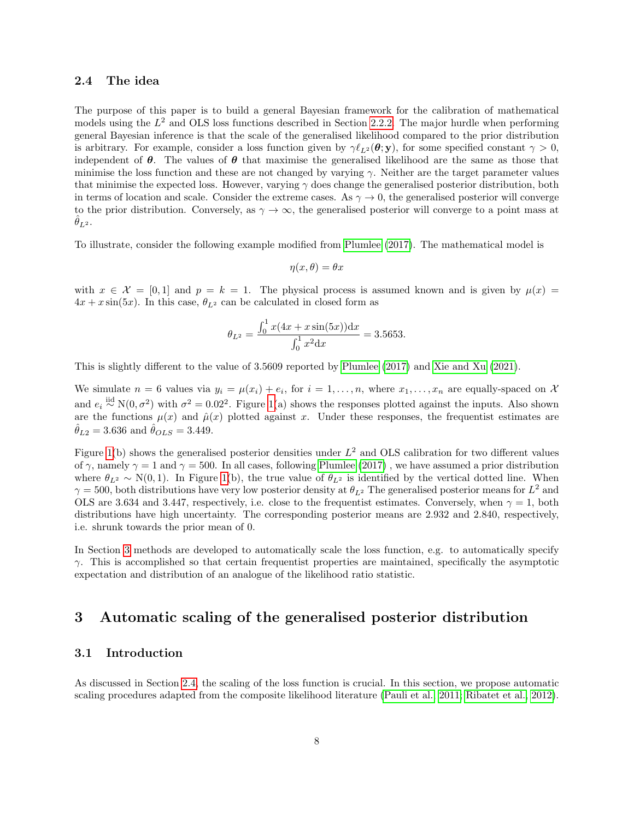### <span id="page-7-1"></span>2.4 The idea

The purpose of this paper is to build a general Bayesian framework for the calibration of mathematical models using the  $L^2$  and OLS loss functions described in Section [2.2.2.](#page-3-2) The major hurdle when performing general Bayesian inference is that the scale of the generalised likelihood compared to the prior distribution is arbitrary. For example, consider a loss function given by  $\gamma \ell_{L^2}(\theta; y)$ , for some specified constant  $\gamma > 0$ , independent of  $\theta$ . The values of  $\theta$  that maximise the generalised likelihood are the same as those that minimise the loss function and these are not changed by varying  $\gamma$ . Neither are the target parameter values that minimise the expected loss. However, varying  $\gamma$  does change the generalised posterior distribution, both in terms of location and scale. Consider the extreme cases. As  $\gamma \to 0$ , the generalised posterior will converge to the prior distribution. Conversely, as  $\gamma \to \infty$ , the generalised posterior will converge to a point mass at  $\ddot{\theta}_{L^2}$ .

To illustrate, consider the following example modified from [Plumlee \(2017\)](#page-34-0). The mathematical model is

$$
\eta(x,\theta) = \theta x
$$

with  $x \in \mathcal{X} = [0,1]$  and  $p = k = 1$ . The physical process is assumed known and is given by  $\mu(x) =$  $4x + x \sin(5x)$ . In this case,  $\theta_{L^2}$  can be calculated in closed form as

$$
\theta_{L^2} = \frac{\int_0^1 x(4x + x\sin(5x))dx}{\int_0^1 x^2 dx} = 3.5653.
$$

This is slightly different to the value of 3.5609 reported by [Plumlee \(2017\)](#page-34-0) and [Xie and Xu \(2021\)](#page-35-1).

We simulate  $n = 6$  values via  $y_i = \mu(x_i) + e_i$ , for  $i = 1, \ldots, n$ , where  $x_1, \ldots, x_n$  are equally-spaced on X and  $e_i \stackrel{\text{iid}}{\sim} N(0, \sigma^2)$  with  $\sigma^2 = 0.02^2$ . Figure [1\(](#page-8-0)a) shows the responses plotted against the inputs. Also shown are the functions  $\mu(x)$  and  $\hat{\mu}(x)$  plotted against x. Under these responses, the frequentist estimates are  $\hat{\theta}_{L2} = 3.636$  and  $\hat{\theta}_{OLS} = 3.449$ .

Figure [1\(](#page-8-0)b) shows the generalised posterior densities under  $L^2$  and OLS calibration for two different values of  $\gamma$ , namely  $\gamma = 1$  and  $\gamma = 500$ . In all cases, following [Plumlee \(2017\)](#page-34-0), we have assumed a prior distribution where  $\theta_{L^2} \sim N(0, 1)$ . In Figure [1\(](#page-8-0)b), the true value of  $\theta_{L^2}$  is identified by the vertical dotted line. When  $\gamma = 500$ , both distributions have very low posterior density at  $\theta_{L^2}$ . The generalised posterior means for  $L^2$  and OLS are 3.634 and 3.447, respectively, i.e. close to the frequentist estimates. Conversely, when  $\gamma = 1$ , both distributions have high uncertainty. The corresponding posterior means are 2.932 and 2.840, respectively, i.e. shrunk towards the prior mean of 0.

In Section [3](#page-7-0) methods are developed to automatically scale the loss function, e.g. to automatically specify  $\gamma$ . This is accomplished so that certain frequentist properties are maintained, specifically the asymptotic expectation and distribution of an analogue of the likelihood ratio statistic.

# <span id="page-7-0"></span>3 Automatic scaling of the generalised posterior distribution

### 3.1 Introduction

As discussed in Section [2.4,](#page-7-1) the scaling of the loss function is crucial. In this section, we propose automatic scaling procedures adapted from the composite likelihood literature [\(Pauli et al., 2011;](#page-34-8) [Ribatet et al., 2012\)](#page-34-9).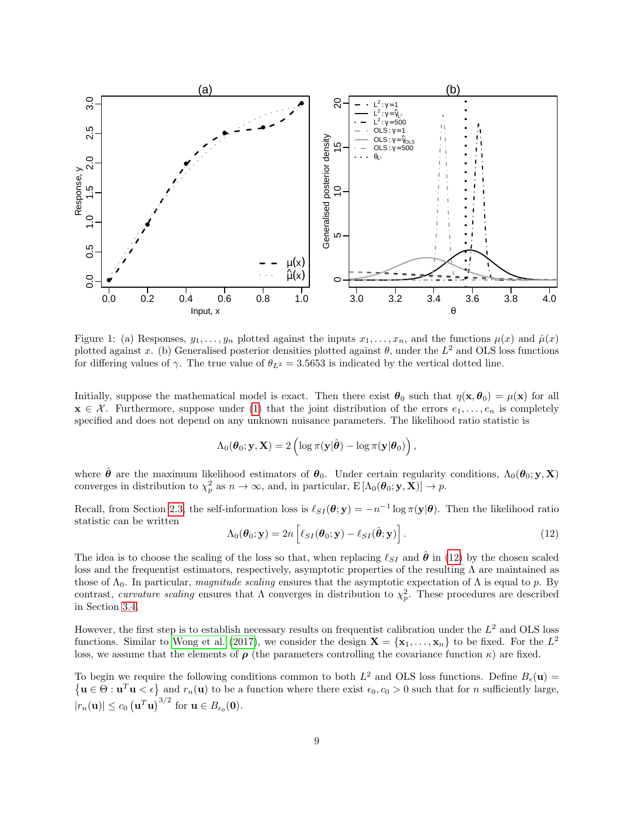

<span id="page-8-0"></span>Figure 1: (a) Responses,  $y_1, \ldots, y_n$  plotted against the inputs  $x_1, \ldots, x_n$ , and the functions  $\mu(x)$  and  $\hat{\mu}(x)$ plotted against x. (b) Generalised posterior densities plotted against  $\theta$ , under the  $L^2$  and OLS loss functions for differing values of  $\gamma$ . The true value of  $\theta_{L^2} = 3.5653$  is indicated by the vertical dotted line.

Initially, suppose the mathematical model is exact. Then there exist  $\theta_0$  such that  $\eta(\mathbf{x}, \theta_0) = \mu(\mathbf{x})$  for all  $\mathbf{x} \in \mathcal{X}$ . Furthermore, suppose under [\(1\)](#page-2-2) that the joint distribution of the errors  $e_1, \ldots, e_n$  is completely specified and does not depend on any unknown nuisance parameters. The likelihood ratio statistic is

$$
\Lambda_0(\boldsymbol{\theta}_0; \mathbf{y}, \mathbf{X}) = 2 \left( \log \pi(\mathbf{y}|\hat{\boldsymbol{\theta}}) - \log \pi(\mathbf{y}|\boldsymbol{\theta}_0) \right),\,
$$

where  $\hat{\theta}$  are the maximum likelihood estimators of  $\theta_0$ . Under certain regularity conditions,  $\Lambda_0(\theta_0; y, X)$ converges in distribution to  $\chi_p^2$  as  $n \to \infty$ , and, in particular,  $E[\Lambda_0(\theta_0; y, \mathbf{X})] \to p$ .

Recall, from Section [2.3,](#page-6-0) the self-information loss is  $\ell_{SI}(\theta; y) = -n^{-1} \log \pi(y|\theta)$ . Then the likelihood ratio statistic can be written

<span id="page-8-1"></span>
$$
\Lambda_0(\boldsymbol{\theta}_0; \mathbf{y}) = 2n \left[ \ell_{SI}(\boldsymbol{\theta}_0; \mathbf{y}) - \ell_{SI}(\hat{\boldsymbol{\theta}}; \mathbf{y}) \right]. \tag{12}
$$

The idea is to choose the scaling of the loss so that, when replacing  $\ell_{SI}$  and  $\hat{\theta}$  in [\(12\)](#page-8-1) by the chosen scaled loss and the frequentist estimators, respectively, asymptotic properties of the resulting Λ are maintained as those of  $\Lambda_0$ . In particular, magnitude scaling ensures that the asymptotic expectation of  $\Lambda$  is equal to p. By contrast, curvature scaling ensures that  $\Lambda$  converges in distribution to  $\chi_p^2$ . These procedures are described in Section [3.4.](#page-14-0)

However, the first step is to establish necessary results on frequentist calibration under the  $L^2$  and OLS loss functions. Similar to [Wong et al. \(2017\)](#page-35-0), we consider the design  $\mathbf{X} = {\mathbf{x}_1, \dots, \mathbf{x}_n}$  to be fixed. For the  $L^2$ loss, we assume that the elements of  $\rho$  (the parameters controlling the covariance function  $\kappa$ ) are fixed.

To begin we require the following conditions common to both  $L^2$  and OLS loss functions. Define  $B_{\epsilon}(\mathbf{u}) =$  $\{ \mathbf{u} \in \Theta : \mathbf{u}^T \mathbf{u} < \epsilon \}$  and  $r_n(\mathbf{u})$  to be a function where there exist  $\epsilon_0, c_0 > 0$  such that for *n* sufficiently large,  $|r_n(\mathbf{u})| \leq c_0 \left(\mathbf{u}^T \mathbf{u}\right)^{3/2}$  for  $\mathbf{u} \in B_{\epsilon_0}(\mathbf{0})$ .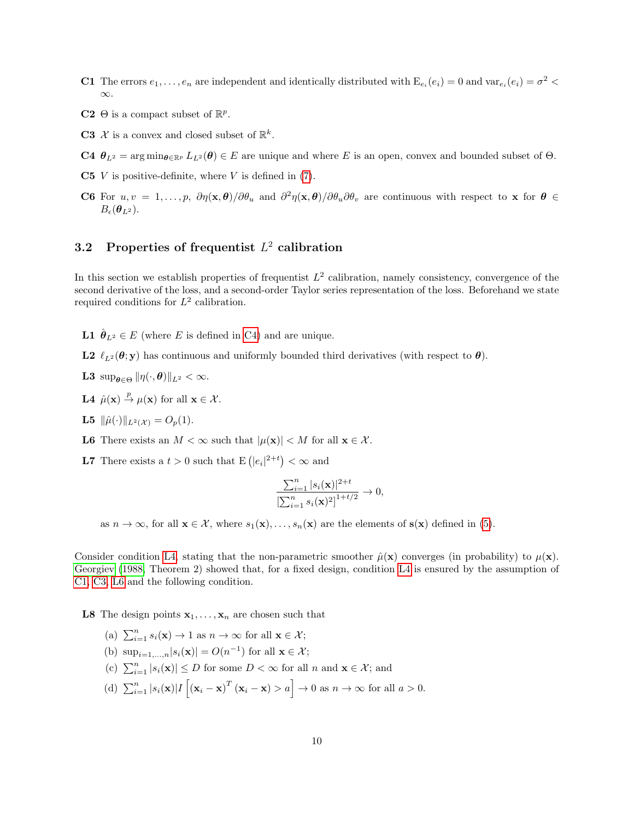- <span id="page-9-2"></span>**C1** The errors  $e_1, \ldots, e_n$  are independent and identically distributed with  $E_{e_i}(e_i) = 0$  and  $var_{e_i}(e_i) = \sigma^2$ ∞.
- **C2**  $\Theta$  is a compact subset of  $\mathbb{R}^p$ .
- <span id="page-9-3"></span>**C3**  $\mathcal{X}$  is a convex and closed subset of  $\mathbb{R}^k$ .

<span id="page-9-0"></span>C4  $\theta_{L^2} = \arg \min_{\theta \in \mathbb{R}^p} L_{L^2}(\theta) \in E$  are unique and where E is an open, convex and bounded subset of  $\Theta$ .

- <span id="page-9-9"></span>C5  $V$  is positive-definite, where  $V$  is defined in [\(7\)](#page-4-2).
- <span id="page-9-5"></span>C6 For  $u, v = 1, \ldots, p$ ,  $\partial \eta(\mathbf{x}, \theta)/\partial \theta_u$  and  $\partial^2 \eta(\mathbf{x}, \theta)/\partial \theta_u \partial \theta_v$  are continuous with respect to x for  $\theta \in$  $B_{\epsilon}(\boldsymbol{\theta}_{L^2})$ .

# <span id="page-9-11"></span>3.2 Properties of frequentist  $L^2$  calibration

In this section we establish properties of frequentist  $L^2$  calibration, namely consistency, convergence of the second derivative of the loss, and a second-order Taylor series representation of the loss. Beforehand we state required conditions for  $L^2$  calibration.

<span id="page-9-6"></span>**L1**  $\hat{\boldsymbol{\theta}}_{L^2} \in E$  (where *E* is defined in [C4\)](#page-9-0) and are unique.

- <span id="page-9-10"></span>L2  $\ell_{L^2}(\theta; y)$  has continuous and uniformly bounded third derivatives (with respect to  $\theta$ ).
- <span id="page-9-8"></span>**L3**  $\sup_{\theta \in \Theta} ||\eta(\cdot, \theta)||_{L^2} < \infty$ .
- <span id="page-9-1"></span>L4  $\hat{\mu}(\mathbf{x}) \stackrel{p}{\rightarrow} \mu(\mathbf{x})$  for all  $\mathbf{x} \in \mathcal{X}$ .
- **L5**  $\|\hat{\mu}(\cdot)\|_{L^2(\mathcal{X})} = O_p(1).$
- <span id="page-9-4"></span>**L6** There exists an  $M < \infty$  such that  $|\mu(\mathbf{x})| < M$  for all  $\mathbf{x} \in \mathcal{X}$ .
- <span id="page-9-7"></span>**L7** There exists a  $t > 0$  such that  $E\left(|e_i|^{2+t}\right) < \infty$  and

$$
\frac{\sum_{i=1}^{n} |s_i(\mathbf{x})|^{2+t}}{\left[\sum_{i=1}^{n} s_i(\mathbf{x})^2\right]^{1+t/2}} \to 0,
$$

as  $n \to \infty$ , for all  $\mathbf{x} \in \mathcal{X}$ , where  $s_1(\mathbf{x}), \ldots, s_n(\mathbf{x})$  are the elements of  $\mathbf{s}(\mathbf{x})$  defined in [\(5\)](#page-4-0).

Consider condition [L4,](#page-9-1) stating that the non-parametric smoother  $\hat{\mu}(\mathbf{x})$  converges (in probability) to  $\mu(\mathbf{x})$ . [Georgiev \(1988,](#page-34-10) Theorem 2) showed that, for a fixed design, condition [L4](#page-9-1) is ensured by the assumption of [C1,](#page-9-2) [C3,](#page-9-3) [L6](#page-9-4) and the following condition.

**L8** The design points  $x_1, \ldots, x_n$  are chosen such that

- (a)  $\sum_{i=1}^{n} s_i(\mathbf{x}) \to 1$  as  $n \to \infty$  for all  $\mathbf{x} \in \mathcal{X}$ ;
- (b)  $\sup_{i=1,\dots,n} |s_i(\mathbf{x})| = O(n^{-1})$  for all  $\mathbf{x} \in \mathcal{X}$ ;
- (c)  $\sum_{i=1}^{n} |s_i(\mathbf{x})| \leq D$  for some  $D < \infty$  for all  $n$  and  $\mathbf{x} \in \mathcal{X}$ ; and
- (d)  $\sum_{i=1}^{n} |s_i(\mathbf{x})| I\left[ (\mathbf{x}_i \mathbf{x})^T (\mathbf{x}_i \mathbf{x}) > a \right] \to 0$  as  $n \to \infty$  for all  $a > 0$ .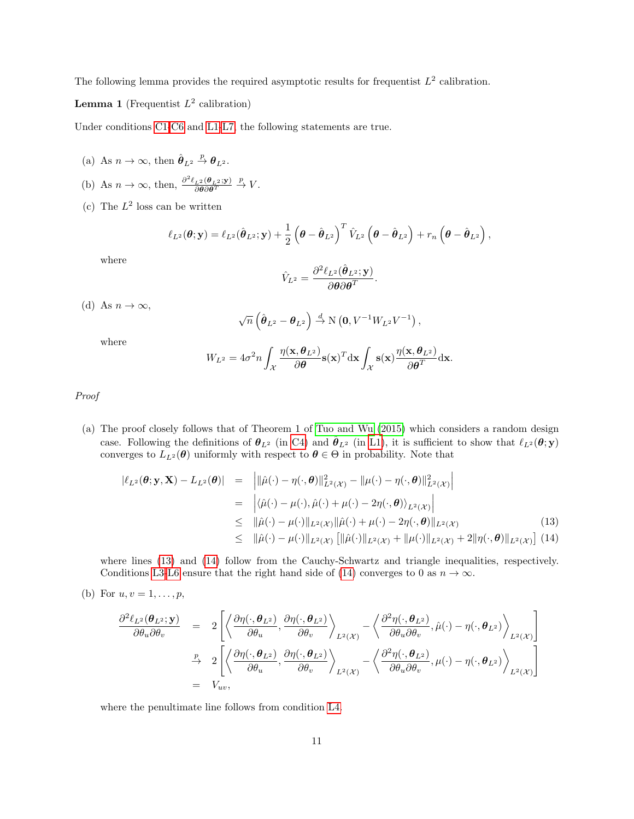The following lemma provides the required asymptotic results for frequentist  $L^2$  calibration.

**Lemma 1** (Frequentist  $L^2$  calibration)

Under conditions [C1](#page-9-2)[-C6](#page-9-5) and [L1-](#page-9-6)[L7,](#page-9-7) the following statements are true.

- (a) As  $n \to \infty$ , then  $\hat{\boldsymbol{\theta}}_{L^2} \stackrel{p}{\to} \boldsymbol{\theta}_{L^2}$ .
- (b) As  $n \to \infty$ , then,  $\frac{\partial^2 \ell_{L^2}(\boldsymbol{\theta}_{L^2}; \mathbf{y})}{\partial \boldsymbol{\theta} \partial \boldsymbol{\theta}^T} \stackrel{p}{\to} V$ .
- (c) The  $L^2$  loss can be written

$$
\ell_{L^2}(\boldsymbol{\theta}; \mathbf{y}) = \ell_{L^2}(\hat{\boldsymbol{\theta}}_{L^2}; \mathbf{y}) + \frac{1}{2} (\boldsymbol{\theta} - \hat{\boldsymbol{\theta}}_{L^2})^T \hat{V}_{L^2} (\boldsymbol{\theta} - \hat{\boldsymbol{\theta}}_{L^2}) + r_n (\boldsymbol{\theta} - \hat{\boldsymbol{\theta}}_{L^2}),
$$

where

$$
\hat{V}_{L^2} = \frac{\partial^2 \ell_{L^2}(\hat{\boldsymbol{\theta}}_{L^2}; \mathbf{y})}{\partial \boldsymbol{\theta} \partial \boldsymbol{\theta}^T}.
$$

(d) As  $n \to \infty$ ,

$$
\sqrt{n}\left(\hat{\boldsymbol{\theta}}_{L^2}-\boldsymbol{\theta}_{L^2}\right)\stackrel{d}{\rightarrow}\mathrm{N}\left(\mathbf{0},V^{-1}W_{L^2}V^{-1}\right),\,
$$

where

$$
W_{L^2} = 4\sigma^2 n \int_{\mathcal{X}} \frac{\eta(\mathbf{x}, \boldsymbol{\theta}_{L^2})}{\partial \boldsymbol{\theta}} \mathbf{s}(\mathbf{x})^T \mathrm{d}\mathbf{x} \int_{\mathcal{X}} \mathbf{s}(\mathbf{x}) \frac{\eta(\mathbf{x}, \boldsymbol{\theta}_{L^2})}{\partial \boldsymbol{\theta}^T} \mathrm{d}\mathbf{x}.
$$

Proof

(a) The proof closely follows that of Theorem 1 of [Tuo and Wu \(2015\)](#page-34-3) which considers a random design case. Following the definitions of  $\theta_{L^2}$  (in [C4\)](#page-9-0) and  $\hat{\theta}_{L^2}$  (in [L1\)](#page-9-6), it is sufficient to show that  $\ell_{L^2}(\theta; y)$ converges to  $L_{L^2}(\theta)$  uniformly with respect to  $\theta \in \Theta$  in probability. Note that

<span id="page-10-0"></span>
$$
\begin{aligned}\n|\ell_{L^2}(\boldsymbol{\theta}; \mathbf{y}, \mathbf{X}) - L_{L^2}(\boldsymbol{\theta})| &= \left| \|\hat{\mu}(\cdot) - \eta(\cdot, \boldsymbol{\theta})\|_{L^2(\mathcal{X})}^2 - \|\mu(\cdot) - \eta(\cdot, \boldsymbol{\theta})\|_{L^2(\mathcal{X})}^2 \right| \\
&= \left| \langle \hat{\mu}(\cdot) - \mu(\cdot), \hat{\mu}(\cdot) + \mu(\cdot) - 2\eta(\cdot, \boldsymbol{\theta}) \rangle_{L^2(\mathcal{X})} \right| \\
&\leq \|\hat{\mu}(\cdot) - \mu(\cdot)\|_{L^2(\mathcal{X})} \|\hat{\mu}(\cdot) + \mu(\cdot) - 2\eta(\cdot, \boldsymbol{\theta})\|_{L^2(\mathcal{X})} \\
&\leq \|\hat{\mu}(\cdot) - \mu(\cdot)\|_{L^2(\mathcal{X})} \left[ \|\hat{\mu}(\cdot)\|_{L^2(\mathcal{X})} + \|\mu(\cdot)\|_{L^2(\mathcal{X})} + 2\|\eta(\cdot, \boldsymbol{\theta})\|_{L^2(\mathcal{X})} \right] (14)\n\end{aligned}
$$

where lines [\(13\)](#page-10-0) and [\(14\)](#page-10-0) follow from the Cauchy-Schwartz and triangle inequalities, respectively. Conditions [L3-](#page-9-8)[L6](#page-9-4) ensure that the right hand side of [\(14\)](#page-10-0) converges to 0 as  $n \to \infty$ .

(b) For  $u, v = 1, ..., p$ ,

$$
\frac{\partial^2 \ell_{L^2}(\boldsymbol{\theta}_{L^2}; \mathbf{y})}{\partial \theta_u \partial \theta_v} = 2 \left[ \left\langle \frac{\partial \eta(\cdot, \boldsymbol{\theta}_{L^2})}{\partial \theta_u}, \frac{\partial \eta(\cdot, \boldsymbol{\theta}_{L^2})}{\partial \theta_v} \right\rangle_{L^2(\mathcal{X})} - \left\langle \frac{\partial^2 \eta(\cdot, \boldsymbol{\theta}_{L^2})}{\partial \theta_u \partial \theta_v}, \hat{\mu}(\cdot) - \eta(\cdot, \boldsymbol{\theta}_{L^2}) \right\rangle_{L^2(\mathcal{X})} \right]
$$
\n
$$
\stackrel{p}{\rightarrow} 2 \left[ \left\langle \frac{\partial \eta(\cdot, \boldsymbol{\theta}_{L^2})}{\partial \theta_u}, \frac{\partial \eta(\cdot, \boldsymbol{\theta}_{L^2})}{\partial \theta_v} \right\rangle_{L^2(\mathcal{X})} - \left\langle \frac{\partial^2 \eta(\cdot, \boldsymbol{\theta}_{L^2})}{\partial \theta_u \partial \theta_v}, \mu(\cdot) - \eta(\cdot, \boldsymbol{\theta}_{L^2}) \right\rangle_{L^2(\mathcal{X})} \right]
$$
\n
$$
= V_{uv},
$$

where the penultimate line follows from condition [L4.](#page-9-1)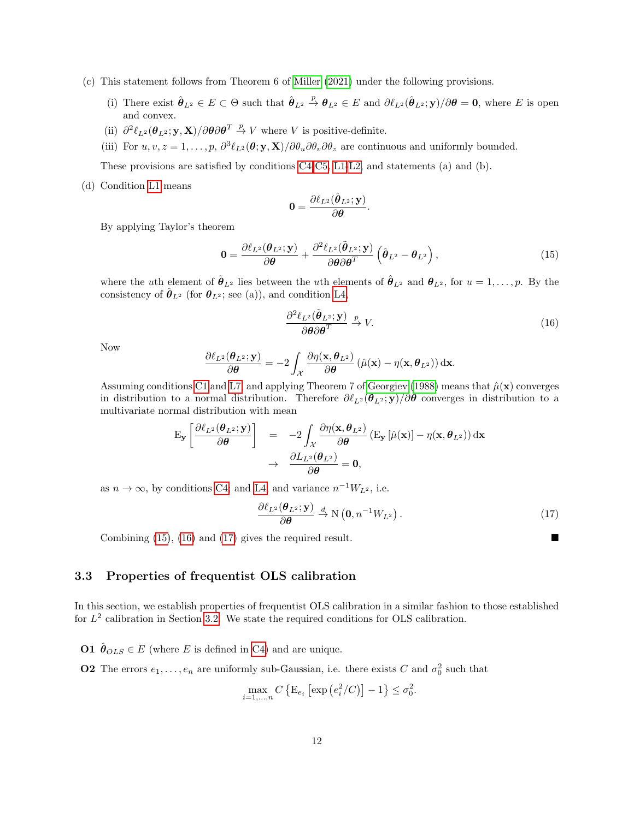- (c) This statement follows from Theorem 6 of [Miller \(2021\)](#page-34-11) under the following provisions.
	- (i) There exist  $\hat{\theta}_{L^2} \in E \subset \Theta$  such that  $\hat{\theta}_{L^2} \stackrel{p}{\to} \theta_{L^2} \in E$  and  $\partial \ell_{L^2}(\hat{\theta}_{L^2}; \mathbf{y})/\partial \theta = \mathbf{0}$ , where E is open and convex.
	- (ii)  $\partial^2 \ell_{L^2}(\theta_{L^2}; \mathbf{y}, \mathbf{X}) / \partial \theta \partial \theta^T \overset{p}{\to} V$  where V is positive-definite.
	- (iii) For  $u, v, z = 1, \ldots, p$ ,  $\partial^3 \ell_{L^2}(\theta; y, \mathbf{X}) / \partial \theta_u \partial \theta_v \partial \theta_z$  are continuous and uniformly bounded.

These provisions are satisfied by conditions [C4-](#page-9-0)[C5,](#page-9-9) [L1-](#page-9-6)[L2,](#page-9-10) and statements (a) and (b).

(d) Condition [L1](#page-9-6) means

$$
\mathbf{0}=\frac{\partial\ell_{L^2}(\hat{\boldsymbol{\theta}}_{L^2};\mathbf{y})}{\partial\boldsymbol{\theta}}.
$$

By applying Taylor's theorem

<span id="page-11-0"></span>
$$
\mathbf{0} = \frac{\partial \ell_{L^2}(\boldsymbol{\theta}_{L^2}; \mathbf{y})}{\partial \boldsymbol{\theta}} + \frac{\partial^2 \ell_{L^2}(\tilde{\boldsymbol{\theta}}_{L^2}; \mathbf{y})}{\partial \boldsymbol{\theta} \partial \boldsymbol{\theta}^T} \left( \hat{\boldsymbol{\theta}}_{L^2} - \boldsymbol{\theta}_{L^2} \right),
$$
(15)

where the uth element of  $\tilde{\boldsymbol{\theta}}_{L^2}$  lies between the uth elements of  $\hat{\boldsymbol{\theta}}_{L^2}$  and  $\boldsymbol{\theta}_{L^2}$ , for  $u = 1, \ldots, p$ . By the consistency of  $\hat{\theta}_{L^2}$  (for  $\theta_{L^2}$ ; see (a)), and condition [L4,](#page-9-1)

<span id="page-11-1"></span>
$$
\frac{\partial^2 \ell_{L^2}(\tilde{\boldsymbol{\theta}}_{L^2}; \mathbf{y})}{\partial \boldsymbol{\theta} \partial \boldsymbol{\theta}^T} \xrightarrow{p} V. \tag{16}
$$

Now

$$
\frac{\partial \ell_{L^2}(\boldsymbol{\theta}_{L^2}; \mathbf{y})}{\partial \boldsymbol{\theta}} = -2 \int_{\mathcal{X}} \frac{\partial \eta(\mathbf{x}, \boldsymbol{\theta}_{L^2})}{\partial \boldsymbol{\theta}} (\hat{\mu}(\mathbf{x}) - \eta(\mathbf{x}, \boldsymbol{\theta}_{L^2})) \, \mathrm{d}\mathbf{x}.
$$

Assuming conditions [C1](#page-9-2) and [L7,](#page-9-7) and applying Theorem 7 of [Georgiev \(1988\)](#page-34-10) means that  $\hat{\mu}(\mathbf{x})$  converges in distribution to a normal distribution. Therefore  $\partial \ell_{L^2}(\theta_{L^2}; y)/\partial \theta$  converges in distribution to a multivariate normal distribution with mean

$$
\begin{array}{rcl}\n\mathbf{E}_{\mathbf{y}}\left[\frac{\partial \ell_{L^2}(\boldsymbol{\theta}_{L^2};\mathbf{y})}{\partial \boldsymbol{\theta}}\right] &=& -2\int_{\mathcal{X}}\frac{\partial \eta(\mathbf{x},\boldsymbol{\theta}_{L^2})}{\partial \boldsymbol{\theta}}\left(\mathbf{E}_{\mathbf{y}}\left[\hat{\mu}(\mathbf{x})\right]-\eta(\mathbf{x},\boldsymbol{\theta}_{L^2})\right)\mathrm{d}\mathbf{x} \\
&\rightarrow & \frac{\partial L_{L^2}(\boldsymbol{\theta}_{L^2})}{\partial \boldsymbol{\theta}}=\mathbf{0},\n\end{array}
$$

as  $n \to \infty$ , by conditions [C4;](#page-9-0) and [L4,](#page-9-1) and variance  $n^{-1}W_{L^2}$ , i.e.

<span id="page-11-2"></span>
$$
\frac{\partial \ell_{L^2}(\boldsymbol{\theta}_{L^2}; \mathbf{y})}{\partial \boldsymbol{\theta}} \stackrel{d}{\to} \mathcal{N}\left(\mathbf{0}, n^{-1} W_{L^2}\right).
$$
\n(17)

Combining [\(15\)](#page-11-0), [\(16\)](#page-11-1) and [\(17\)](#page-11-2) gives the required result.

3.3 Properties of frequentist OLS calibration

In this section, we establish properties of frequentist OLS calibration in a similar fashion to those established for  $L^2$  calibration in Section [3.2.](#page-9-11) We state the required conditions for OLS calibration.

<span id="page-11-3"></span>**O1**  $\hat{\theta}_{OLS} \in E$  (where E is defined in [C4\)](#page-9-0) and are unique.

**O2** The errors  $e_1, \ldots, e_n$  are uniformly sub-Gaussian, i.e. there exists C and  $\sigma_0^2$  such that

$$
\max_{i=1,\dots,n} C\left\{\mathbf{E}_{e_i}\left[\exp\left(\frac{e_i^2}{C}\right)\right] - 1\right\} \le \sigma_0^2.
$$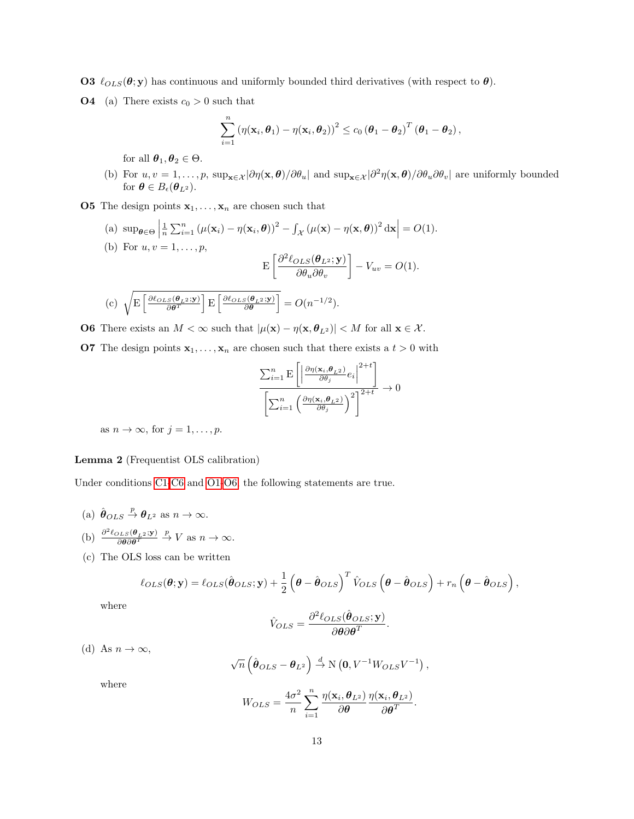<span id="page-12-1"></span>**O3**  $\ell_{OLS}(\theta; y)$  has continuous and uniformly bounded third derivatives (with respect to  $\theta$ ).

**O4** (a) There exists  $c_0 > 0$  such that

$$
\sum_{i=1}^n \left(\eta(\mathbf{x}_i,\boldsymbol{\theta}_1)-\eta(\mathbf{x}_i,\boldsymbol{\theta}_2)\right)^2 \leq c_0 \left(\boldsymbol{\theta}_1-\boldsymbol{\theta}_2\right)^T \left(\boldsymbol{\theta}_1-\boldsymbol{\theta}_2\right),
$$

for all  $\theta_1, \theta_2 \in \Theta$ .

- (b) For  $u, v = 1, \ldots, p$ ,  $\sup_{\mathbf{x} \in \mathcal{X}} |\partial \eta(\mathbf{x}, \boldsymbol{\theta})| / \partial \theta_u$  and  $\sup_{\mathbf{x} \in \mathcal{X}} |\partial^2 \eta(\mathbf{x}, \boldsymbol{\theta})| / \partial \theta_u \partial \theta_v|$  are uniformly bounded for  $\boldsymbol{\theta} \in B_{\epsilon}(\boldsymbol{\theta}_{L^2}).$
- <span id="page-12-3"></span>**O5** The design points  $x_1, \ldots, x_n$  are chosen such that
	- (a)  $\sup_{\theta \in \Theta}$  $\frac{1}{n}\sum_{i=1}^{n} (\mu(\mathbf{x}_i) - \eta(\mathbf{x}_i, \boldsymbol{\theta}))^2 - \int_{\mathcal{X}} (\mu(\mathbf{x}) - \eta(\mathbf{x}, \boldsymbol{\theta}))^2 d\mathbf{x} = O(1).$

(b) For 
$$
u, v = 1,..., p
$$
,  
\n
$$
E\left[\frac{\partial^2 \ell_{OLS}(\boldsymbol{\theta}_{L^2}; \mathbf{y})}{\partial \theta_u \partial \theta_v}\right] - V_{uv} = O(1).
$$
\n(c) 
$$
\sqrt{E\left[\frac{\partial \ell_{OLS}(\boldsymbol{\theta}_{L^2}; \mathbf{y})}{\partial \boldsymbol{\theta}^T}\right]E\left[\frac{\partial \ell_{OLS}(\boldsymbol{\theta}_{L^2}; \mathbf{y})}{\partial \boldsymbol{\theta}}\right]} = O(n^{-1/2}).
$$

<span id="page-12-0"></span>**O6** There exists an  $M < \infty$  such that  $|\mu(\mathbf{x}) - \eta(\mathbf{x}, \theta_{L^2})| < M$  for all  $\mathbf{x} \in \mathcal{X}$ .

<span id="page-12-2"></span>**O7** The design points  $\mathbf{x}_1, \ldots, \mathbf{x}_n$  are chosen such that there exists a  $t > 0$  with

$$
\frac{\sum_{i=1}^{n} \mathbf{E}\left[\left|\frac{\partial \eta(\mathbf{x}_i, \boldsymbol{\theta}_{L^2})}{\partial \theta_j} e_i\right|^{2+t}\right]}{\left[\sum_{i=1}^{n} \left(\frac{\partial \eta(\mathbf{x}_i, \boldsymbol{\theta}_{L^2})}{\partial \theta_j}\right)^2\right]^{2+t}} \to 0
$$

as  $n \to \infty$ , for  $j = 1, \ldots, p$ .

# Lemma 2 (Frequentist OLS calibration)

Under conditions [C1](#page-9-2)[-C6](#page-9-5) and [O1](#page-11-3)[-O6,](#page-12-0) the following statements are true.

- (a)  $\hat{\boldsymbol{\theta}}_{OLS} \stackrel{p}{\rightarrow} \boldsymbol{\theta}_{L^2}$  as  $n \rightarrow \infty$ . (b)  $\frac{\partial^2 \ell_{OLS}(\theta_{L^2}; \mathbf{y})}{\partial \theta \partial \theta^T} \stackrel{p}{\to} V \text{ as } n \to \infty.$
- (c) The OLS loss can be written

$$
\ell_{OLS}(\boldsymbol{\theta}; \mathbf{y}) = \ell_{OLS}(\hat{\boldsymbol{\theta}}_{OLS}; \mathbf{y}) + \frac{1}{2} (\boldsymbol{\theta} - \hat{\boldsymbol{\theta}}_{OLS})^T \hat{V}_{OLS} (\boldsymbol{\theta} - \hat{\boldsymbol{\theta}}_{OLS}) + r_n (\boldsymbol{\theta} - \hat{\boldsymbol{\theta}}_{OLS}),
$$

where

$$
\hat{V}_{OLS} = \frac{\partial^2 \ell_{OLS}(\hat{\boldsymbol{\theta}}_{OLS}; \mathbf{y})}{\partial \boldsymbol{\theta} \partial \boldsymbol{\theta}^T}.
$$

(d) As  $n \to \infty$ ,

$$
\sqrt{n}\left(\hat{\boldsymbol{\theta}}_{OLS}-\boldsymbol{\theta}_{L^2}\right)\overset{d}{\rightarrow}\text{N}\left(\mathbf{0},V^{-1}W_{OLS}V^{-1}\right),
$$

where

$$
W_{OLS} = \frac{4\sigma^2}{n} \sum_{i=1}^n \frac{\eta(\mathbf{x}_i, \boldsymbol{\theta}_{L^2})}{\partial \boldsymbol{\theta}} \frac{\eta(\mathbf{x}_i, \boldsymbol{\theta}_{L^2})}{\partial \boldsymbol{\theta}^T}.
$$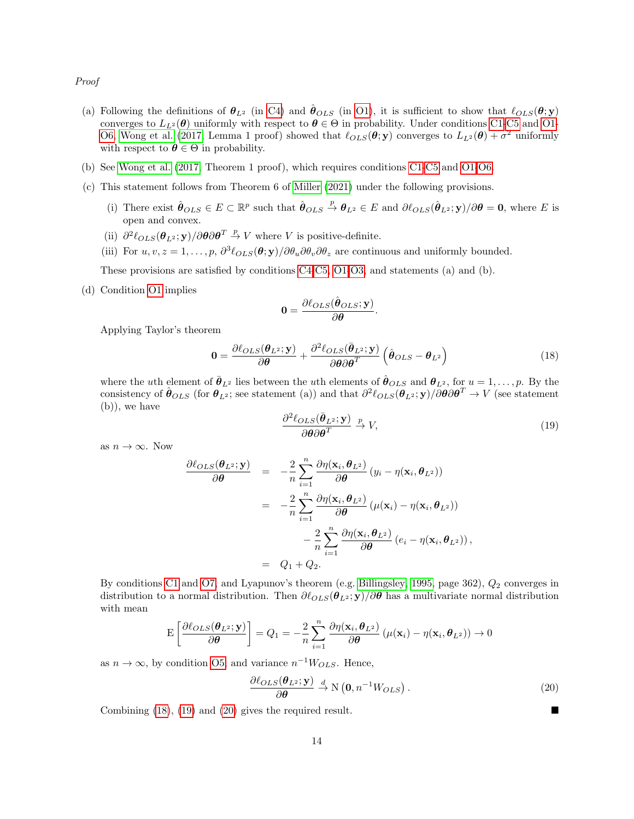Proof

- (a) Following the definitions of  $\theta_{L^2}$  (in [C4\)](#page-9-0) and  $\hat{\theta}_{OLS}$  (in [O1\)](#page-11-3), it is sufficient to show that  $\ell_{OLS}(\theta; y)$ converges to  $L_2(\theta)$  uniformly with respect to  $\theta \in \Theta$  in probability. Under conditions [C1-](#page-9-2)[C5](#page-9-9) and [O1-](#page-11-3) [O6,](#page-12-0) [Wong et al. \(2017,](#page-35-0) Lemma 1 proof) showed that  $\ell_{OLS}(\theta; y)$  converges to  $L_{L^2}(\theta) + \sigma^2$  uniformly with respect to  $\theta \in \Theta$  in probability.
- (b) See [Wong et al. \(2017,](#page-35-0) Theorem 1 proof), which requires conditions [C1-](#page-9-2)[C5](#page-9-9) and [O1-](#page-11-3)[O6.](#page-12-0)
- (c) This statement follows from Theorem 6 of [Miller \(2021\)](#page-34-11) under the following provisions.
	- (i) There exist  $\hat{\theta}_{OLS} \in E \subset \mathbb{R}^p$  such that  $\hat{\theta}_{OLS} \stackrel{p}{\to} \theta_{L^2} \in E$  and  $\partial \ell_{OLS}(\hat{\theta}_{L^2}; \mathbf{y})/\partial \theta = \mathbf{0}$ , where E is open and convex.
	- (ii)  $\partial^2 \ell_{OLS}(\theta_{L^2}; \mathbf{y}) / \partial \theta \partial \theta^T \stackrel{p}{\rightarrow} V$  where V is positive-definite.
	- (iii) For  $u, v, z = 1, \ldots, p$ ,  $\partial^3 \ell_{OLS}(\theta; \mathbf{y}) / \partial \theta_u \partial \theta_v \partial \theta_z$  are continuous and uniformly bounded.

These provisions are satisfied by conditions [C4-](#page-9-0)[C5,](#page-9-9) [O1-](#page-11-3)[O3,](#page-12-1) and statements (a) and (b).

(d) Condition [O1](#page-11-3) implies

$$
0 = \frac{\partial \ell_{OLS}(\hat{\boldsymbol{\theta}}_{OLS}; \mathbf{y})}{\partial \boldsymbol{\theta}}.
$$

Applying Taylor's theorem

<span id="page-13-0"></span>
$$
\mathbf{0} = \frac{\partial \ell_{OLS}(\boldsymbol{\theta}_{L^2}; \mathbf{y})}{\partial \boldsymbol{\theta}} + \frac{\partial^2 \ell_{OLS}(\bar{\boldsymbol{\theta}}_{L^2}; \mathbf{y})}{\partial \boldsymbol{\theta} \partial \boldsymbol{\theta}^T} \left( \hat{\boldsymbol{\theta}}_{OLS} - \boldsymbol{\theta}_{L^2} \right)
$$
(18)

where the *u*th element of  $\bar{\theta}_{L^2}$  lies between the *u*th elements of  $\hat{\theta}_{OLS}$  and  $\theta_{L^2}$ , for  $u = 1, \ldots, p$ . By the consistency of  $\hat{\theta}_{OLS}$  (for  $\theta_{L^2}$ ; see statement (a)) and that  $\partial^2 \ell_{OLS}(\hat{\theta}_{L^2}; \mathbf{y}) / \partial \theta \partial \theta^T \rightarrow V$  (see statement (b)), we have

<span id="page-13-1"></span>
$$
\frac{\partial^2 \ell_{OLS}(\bar{\boldsymbol{\theta}}_{L^2}; \mathbf{y})}{\partial \boldsymbol{\theta} \partial \boldsymbol{\theta}^T} \xrightarrow{p} V,\tag{19}
$$

as  $n \to \infty$ . Now

$$
\frac{\partial \ell_{OLS}(\boldsymbol{\theta}_{L^2}; \mathbf{y})}{\partial \boldsymbol{\theta}} = -\frac{2}{n} \sum_{i=1}^n \frac{\partial \eta(\mathbf{x}_i, \boldsymbol{\theta}_{L^2})}{\partial \boldsymbol{\theta}} (y_i - \eta(\mathbf{x}_i, \boldsymbol{\theta}_{L^2}))
$$

$$
= -\frac{2}{n} \sum_{i=1}^n \frac{\partial \eta(\mathbf{x}_i, \boldsymbol{\theta}_{L^2})}{\partial \boldsymbol{\theta}} (\mu(\mathbf{x}_i) - \eta(\mathbf{x}_i, \boldsymbol{\theta}_{L^2}))
$$

$$
- \frac{2}{n} \sum_{i=1}^n \frac{\partial \eta(\mathbf{x}_i, \boldsymbol{\theta}_{L^2})}{\partial \boldsymbol{\theta}} (e_i - \eta(\mathbf{x}_i, \boldsymbol{\theta}_{L^2})),
$$

$$
= Q_1 + Q_2.
$$

By conditions [C1](#page-9-2) and [O7,](#page-12-2) and Lyapunov's theorem (e.g. [Billingsley, 1995,](#page-34-12) page 362),  $Q_2$  converges in distribution to a normal distribution. Then  $\partial \ell_{OLS}(\theta_{L^2}; y)/\partial \theta$  has a multivariate normal distribution with mean

$$
\mathrm{E}\left[\frac{\partial \ell_{OLS}(\boldsymbol{\theta}_{L^2}; \mathbf{y})}{\partial \boldsymbol{\theta}}\right] = Q_1 = -\frac{2}{n} \sum_{i=1}^n \frac{\partial \eta(\mathbf{x}_i, \boldsymbol{\theta}_{L^2})}{\partial \boldsymbol{\theta}} \left(\mu(\mathbf{x}_i) - \eta(\mathbf{x}_i, \boldsymbol{\theta}_{L^2})\right) \rightarrow 0
$$

as  $n \to \infty$ , by condition [O5;](#page-12-3) and variance  $n^{-1}W_{OLS}$ . Hence,

<span id="page-13-2"></span>
$$
\frac{\partial \ell_{OLS}(\boldsymbol{\theta}_{L^2}; \mathbf{y})}{\partial \boldsymbol{\theta}} \xrightarrow{d} N(\mathbf{0}, n^{-1}W_{OLS}).
$$
\n(20)

Combining [\(18\)](#page-13-0), [\(19\)](#page-13-1) and [\(20\)](#page-13-2) gives the required result.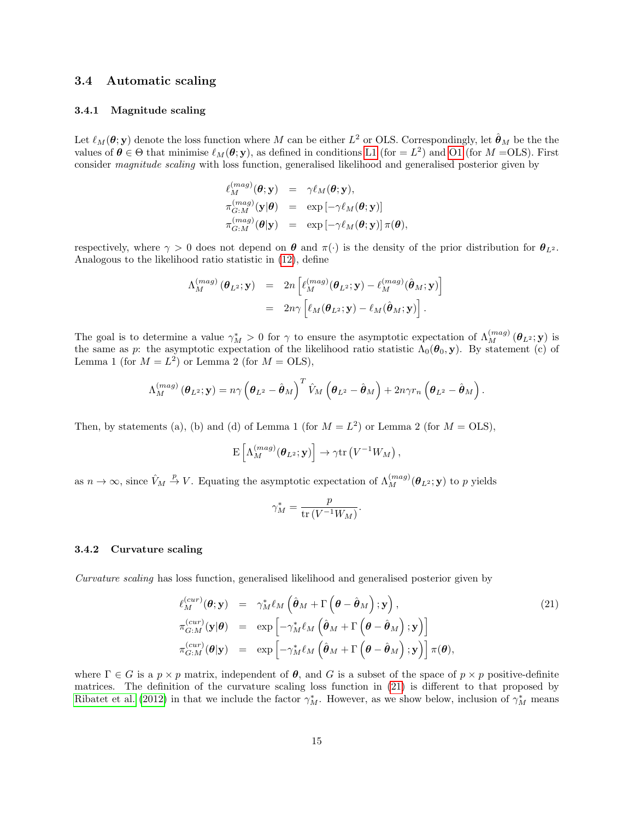### <span id="page-14-0"></span>3.4 Automatic scaling

# 3.4.1 Magnitude scaling

Let  $\ell_M(\theta; y)$  denote the loss function where M can be either  $L^2$  or OLS. Correspondingly, let  $\hat{\theta}_M$  be the the values of  $\theta \in \Theta$  that minimise  $\ell_M(\theta, y)$ , as defined in conditions [L1](#page-9-6) (for  $= L^2$ ) and [O1](#page-11-3) (for  $M = OLS$ ). First consider magnitude scaling with loss function, generalised likelihood and generalised posterior given by

$$
\begin{array}{rcl} \ell^{(mag)}_M(\pmb{\theta};\textbf{y}) & = & \gamma \ell_M(\pmb{\theta};\textbf{y}),\\ \pi^{(mag)}_{G:M}(\textbf{y}|\pmb{\theta}) & = & \exp\left[-\gamma \ell_M(\pmb{\theta};\textbf{y})\right] \\ \pi^{(mag)}_{G:M}(\pmb{\theta}|\textbf{y}) & = & \exp\left[-\gamma \ell_M(\pmb{\theta};\textbf{y})\right]\pi(\pmb{\theta}), \end{array}
$$

respectively, where  $\gamma > 0$  does not depend on  $\theta$  and  $\pi(\cdot)$  is the density of the prior distribution for  $\theta_{L^2}$ . Analogous to the likelihood ratio statistic in [\(12\)](#page-8-1), define

$$
\Lambda_M^{(mag)}(\boldsymbol{\theta}_L^2; \mathbf{y}) = 2n \left[ \ell_M^{(mag)}(\boldsymbol{\theta}_L^2; \mathbf{y}) - \ell_M^{(mag)}(\hat{\boldsymbol{\theta}}_M; \mathbf{y}) \right] \n= 2n\gamma \left[ \ell_M(\boldsymbol{\theta}_L^2; \mathbf{y}) - \ell_M(\hat{\boldsymbol{\theta}}_M; \mathbf{y}) \right].
$$

The goal is to determine a value  $\gamma_M^* > 0$  for  $\gamma$  to ensure the asymptotic expectation of  $\Lambda_M^{(mag)}(\theta_{L^2};y)$  is the same as p: the asymptotic expectation of the likelihood ratio statistic  $\Lambda_0(\theta_0, y)$ . By statement (c) of Lemma 1 (for  $M = L^2$ ) or Lemma 2 (for  $M = OLS$ ),

$$
\Lambda_M^{(mag)}(\boldsymbol{\theta}_{L^2}; \mathbf{y}) = n\gamma \left(\boldsymbol{\theta}_{L^2} - \hat{\boldsymbol{\theta}}_M\right)^T \hat{V}_M \left(\boldsymbol{\theta}_{L^2} - \hat{\boldsymbol{\theta}}_M\right) + 2n\gamma r_n \left(\boldsymbol{\theta}_{L^2} - \hat{\boldsymbol{\theta}}_M\right).
$$

Then, by statements (a), (b) and (d) of Lemma 1 (for  $M = L<sup>2</sup>$ ) or Lemma 2 (for  $M = OLS$ ),

$$
\mathrm{E}\left[\Lambda_M^{(mag)}(\pmb{\theta}_{L^2};\mathbf{y})\right]\to\gamma\mathrm{tr}\left(V^{-1}W_M\right),
$$

as  $n \to \infty$ , since  $\hat{V}_M \stackrel{p}{\to} V$ . Equating the asymptotic expectation of  $\Lambda_M^{(mag)}(\theta_{L^2};y)$  to p yields

$$
\gamma_M^* = \frac{p}{\text{tr}\left(V^{-1}W_M\right)}.
$$

#### 3.4.2 Curvature scaling

Curvature scaling has loss function, generalised likelihood and generalised posterior given by

<span id="page-14-1"></span>
$$
\ell_M^{(cur)}(\boldsymbol{\theta}; \mathbf{y}) = \gamma_M^* \ell_M \left( \hat{\boldsymbol{\theta}}_M + \Gamma \left( \boldsymbol{\theta} - \hat{\boldsymbol{\theta}}_M \right); \mathbf{y} \right),
$$
\n
$$
\pi_{G:M}^{(cur)}(\mathbf{y}|\boldsymbol{\theta}) = \exp \left[ -\gamma_M^* \ell_M \left( \hat{\boldsymbol{\theta}}_M + \Gamma \left( \boldsymbol{\theta} - \hat{\boldsymbol{\theta}}_M \right); \mathbf{y} \right) \right]
$$
\n
$$
\pi_{G:M}^{(cur)}(\boldsymbol{\theta}|\mathbf{y}) = \exp \left[ -\gamma_M^* \ell_M \left( \hat{\boldsymbol{\theta}}_M + \Gamma \left( \boldsymbol{\theta} - \hat{\boldsymbol{\theta}}_M \right); \mathbf{y} \right) \right] \pi(\boldsymbol{\theta}),
$$
\n(21)

where  $\Gamma \in G$  is a  $p \times p$  matrix, independent of  $\theta$ , and G is a subset of the space of  $p \times p$  positive-definite matrices. The definition of the curvature scaling loss function in [\(21\)](#page-14-1) is different to that proposed by [Ribatet et al. \(2012\)](#page-34-9) in that we include the factor  $\gamma_M^*$ . However, as we show below, inclusion of  $\gamma_M^*$  means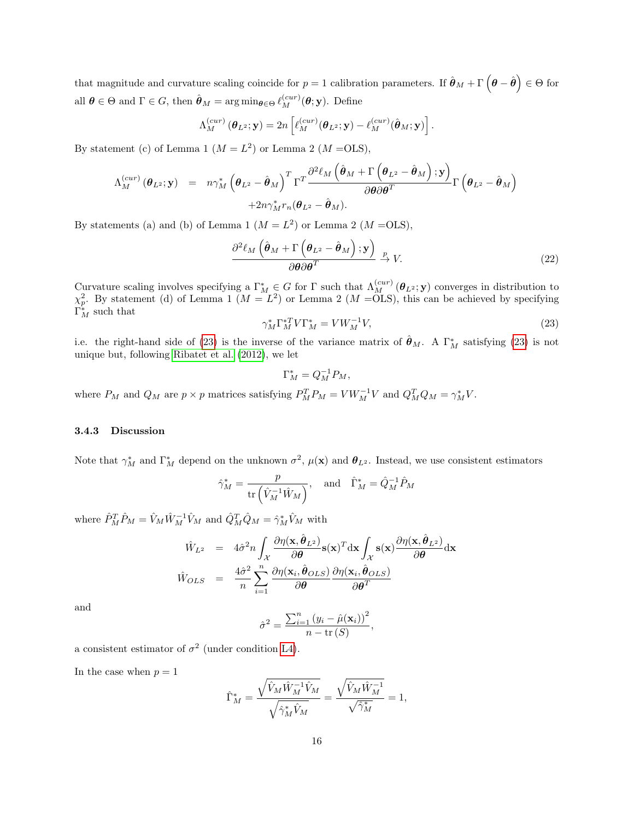that magnitude and curvature scaling coincide for  $p = 1$  calibration parameters. If  $\hat{\theta}_M + \Gamma(\theta - \hat{\theta}) \in \Theta$  for all  $\theta \in \Theta$  and  $\Gamma \in G$ , then  $\hat{\theta}_M = \arg \min_{\theta \in \Theta} \ell_M^{(cur)}(\theta; \mathbf{y})$ . Define

$$
\Lambda_M^{(cur)}(\boldsymbol{\theta}_L^2; \mathbf{y}) = 2n \left[ \ell_M^{(cur)}(\boldsymbol{\theta}_L^2; \mathbf{y}) - \ell_M^{(cur)}(\hat{\boldsymbol{\theta}}_M; \mathbf{y}) \right].
$$

By statement (c) of Lemma 1  $(M = L^2)$  or Lemma 2  $(M = OLS)$ ,

$$
\Lambda_M^{(cur)}(\boldsymbol{\theta}_{L^2}; \mathbf{y}) = n \gamma_M^* \left( \boldsymbol{\theta}_{L^2} - \hat{\boldsymbol{\theta}}_M \right)^T \Gamma^T \frac{\partial^2 \ell_M \left( \hat{\boldsymbol{\theta}}_M + \Gamma \left( \boldsymbol{\theta}_{L^2} - \hat{\boldsymbol{\theta}}_M \right) ; \mathbf{y} \right)}{\partial \boldsymbol{\theta} \partial \boldsymbol{\theta}^T} \Gamma \left( \boldsymbol{\theta}_{L^2} - \hat{\boldsymbol{\theta}}_M \right) + 2n \gamma_M^* r_n (\boldsymbol{\theta}_{L^2} - \hat{\boldsymbol{\theta}}_M).
$$

By statements (a) and (b) of Lemma 1  $(M = L<sup>2</sup>)$  or Lemma 2  $(M = OLS)$ ,

$$
\frac{\partial^2 \ell_M \left( \hat{\boldsymbol{\theta}}_M + \Gamma \left( \boldsymbol{\theta}_{L^2} - \hat{\boldsymbol{\theta}}_M \right) ; \mathbf{y} \right)}{\partial \boldsymbol{\theta} \partial \boldsymbol{\theta}^T} \xrightarrow{p} V.
$$
 (22)

Curvature scaling involves specifying a  $\Gamma_M^* \in G$  for  $\Gamma$  such that  $\Lambda_M^{(cur)}(\theta_{L^2};\mathbf{y})$  converges in distribution to  $\chi_p^2$ . By statement (d) of Lemma 1 ( $M = L^2$ ) or Lemma 2 ( $M = OLS$ ), this can be achieved by specifying  $\Gamma_M^*$  such that

<span id="page-15-0"></span>
$$
\gamma_M^* \Gamma_M^{*T} V \Gamma_M^* = V W_M^{-1} V,\tag{23}
$$

i.e. the right-hand side of [\(23\)](#page-15-0) is the inverse of the variance matrix of  $\hat{\theta}_M$ . A  $\Gamma_M^*$  satisfying (23) is not unique but, following [Ribatet et al. \(2012\)](#page-34-9), we let

$$
\Gamma_M^* = Q_M^{-1} P_M,
$$

where  $P_M$  and  $Q_M$  are  $p \times p$  matrices satisfying  $P_M^T P_M = V W_M^{-1} V$  and  $Q_M^T Q_M = \gamma_M^* V$ .

#### 3.4.3 Discussion

Note that  $\gamma_M^*$  and  $\Gamma_M^*$  depend on the unknown  $\sigma^2$ ,  $\mu(\mathbf{x})$  and  $\boldsymbol{\theta}_{L^2}$ . Instead, we use consistent estimators

$$
\hat{\gamma}_M^* = \frac{p}{\text{tr}\left(\hat{V}_M^{-1}\hat{W}_M\right)}, \quad \text{and} \quad \hat{\Gamma}_M^* = \hat{Q}_M^{-1}\hat{P}_M
$$

where  $\hat{P}_M^T \hat{P}_M = \hat{V}_M \hat{W}_M^{-1} \hat{V}_M$  and  $\hat{Q}_M^T \hat{Q}_M = \hat{\gamma}_M^* \hat{V}_M$  with

$$
\hat{W}_{L^2} = 4\hat{\sigma}^2 n \int_{\mathcal{X}} \frac{\partial \eta(\mathbf{x}, \hat{\boldsymbol{\theta}}_{L^2})}{\partial \boldsymbol{\theta}} \mathbf{s}(\mathbf{x})^T \, \mathrm{d}\mathbf{x} \int_{\mathcal{X}} \mathbf{s}(\mathbf{x}) \frac{\partial \eta(\mathbf{x}, \hat{\boldsymbol{\theta}}_{L^2})}{\partial \boldsymbol{\theta}} \, \mathrm{d}\mathbf{x}
$$
\n
$$
\hat{W}_{OLS} = \frac{4\hat{\sigma}^2}{n} \sum_{i=1}^n \frac{\partial \eta(\mathbf{x}_i, \hat{\boldsymbol{\theta}}_{OLS})}{\partial \boldsymbol{\theta}} \frac{\partial \eta(\mathbf{x}_i, \hat{\boldsymbol{\theta}}_{OLS})}{\partial \boldsymbol{\theta}^T}
$$

and

$$
\hat{\sigma}^2 = \frac{\sum_{i=1}^n (y_i - \hat{\mu}(\mathbf{x}_i))^2}{n - \text{tr}(S)},
$$

a consistent estimator of  $\sigma^2$  (under condition [L4\)](#page-9-1).

In the case when  $p = 1$ 

$$
\hat{\Gamma}^*_M = \frac{\sqrt{\hat{V}_M\hat{W}_M^{-1}\hat{V}_M}}{\sqrt{\hat{\gamma}_M^*\hat{V}_M}} = \frac{\sqrt{\hat{V}_M\hat{W}_M^{-1}}}{\sqrt{\hat{\gamma}_M^*}} = 1,
$$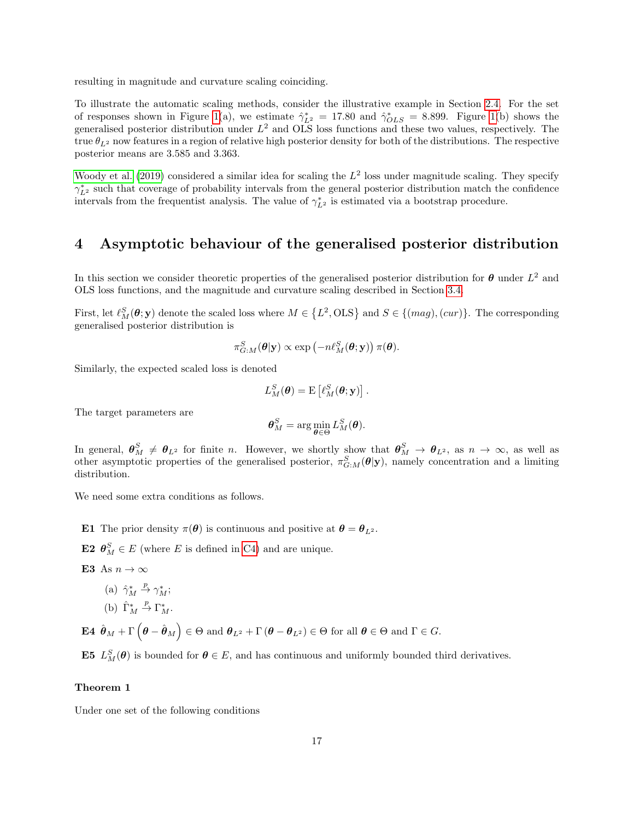resulting in magnitude and curvature scaling coinciding.

To illustrate the automatic scaling methods, consider the illustrative example in Section [2.4.](#page-7-1) For the set of responses shown in Figure [1\(](#page-8-0)a), we estimate  $\hat{\gamma}_{L^2}^* = 17.80$  and  $\hat{\gamma}_{OLS}^* = 8.899$ . Figure 1(b) shows the generalised posterior distribution under  $L^2$  and OLS loss functions and these two values, respectively. The true  $\theta_{L^2}$  now features in a region of relative high posterior density for both of the distributions. The respective posterior means are 3.585 and 3.363.

[Woody et al. \(2019\)](#page-35-2) considered a similar idea for scaling the  $L^2$  loss under magnitude scaling. They specify  $\gamma_{L^2}^*$  such that coverage of probability intervals from the general posterior distribution match the confidence intervals from the frequentist analysis. The value of  $\gamma_{L^2}^*$  is estimated via a bootstrap procedure.

# <span id="page-16-0"></span>4 Asymptotic behaviour of the generalised posterior distribution

In this section we consider theoretic properties of the generalised posterior distribution for  $\theta$  under  $L^2$  and OLS loss functions, and the magnitude and curvature scaling described in Section [3.4.](#page-14-0)

First, let  $\ell_M^S(\theta; y)$  denote the scaled loss where  $M \in \{L^2, OLS\}$  and  $S \in \{(mag), (cur)\}$ . The corresponding generalised posterior distribution is

$$
\pi_{G:M}^S(\boldsymbol{\theta}|\mathbf{y}) \propto \exp(-n\ell_M^S(\boldsymbol{\theta};\mathbf{y})) \pi(\boldsymbol{\theta}).
$$

Similarly, the expected scaled loss is denoted

$$
L_M^S(\boldsymbol{\theta}) = \mathrm{E}\left[\ell_M^S(\boldsymbol{\theta};\mathbf{y})\right].
$$

The target parameters are

$$
\boldsymbol{\theta}_M^S = \arg\min_{\boldsymbol{\theta}\in\Theta} L_M^S(\boldsymbol{\theta}).
$$

In general,  $\boldsymbol{\theta}_M^S \neq \boldsymbol{\theta}_{L^2}$  for finite n. However, we shortly show that  $\boldsymbol{\theta}_M^S \to \boldsymbol{\theta}_{L^2}$ , as  $n \to \infty$ , as well as other asymptotic properties of the generalised posterior,  $\pi_{G:M}^S(\theta|y)$ , namely concentration and a limiting distribution.

We need some extra conditions as follows.

- <span id="page-16-1"></span>**E1** The prior density  $\pi(\theta)$  is continuous and positive at  $\theta = \theta_{L^2}$ .
- <span id="page-16-3"></span>**E2**  $\boldsymbol{\theta}_{M}^{S} \in E$  (where *E* is defined in [C4\)](#page-9-0) and are unique.
- <span id="page-16-5"></span>E3 As  $n \to \infty$ 
	- (a)  $\hat{\gamma}_M^* \stackrel{p}{\rightarrow} \gamma_M^*$ ;
	- (b)  $\hat{\Gamma}_M^* \stackrel{p}{\rightarrow} \Gamma_M^*$ .
- <span id="page-16-4"></span> $\mathbf{E4}\left\|\hat{\boldsymbol{\theta}}_{M}+\Gamma\left(\boldsymbol{\theta}-\hat{\boldsymbol{\theta}}_{M}\right)\right\|\in\Theta\text{ and }\boldsymbol{\theta}_{L^{2}}+\Gamma\left(\boldsymbol{\theta}-\boldsymbol{\theta}_{L^{2}}\right)\in\Theta\text{ for all }\boldsymbol{\theta}\in\Theta\text{ and }\Gamma\in G.$

<span id="page-16-2"></span>**E5**  $L_M^S(\theta)$  is bounded for  $\theta \in E$ , and has continuous and uniformly bounded third derivatives.

#### Theorem 1

Under one set of the following conditions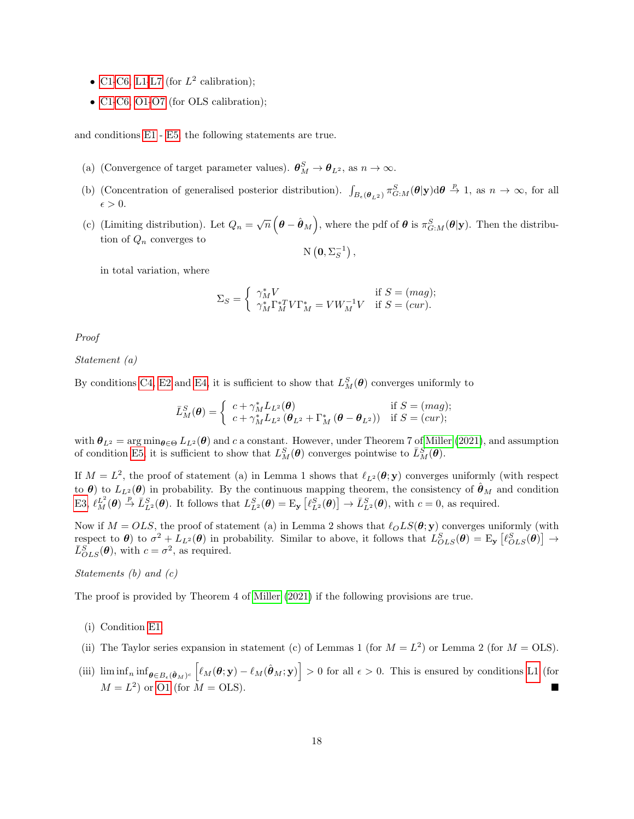- [C1](#page-9-2)[-C6,](#page-9-5) [L1](#page-9-6)[-L7](#page-9-7) (for  $L^2$  calibration);
- [C1](#page-9-2)[-C6,](#page-9-5) [O1](#page-11-3)[-O7](#page-12-2) (for OLS calibration);

and conditions [E1](#page-16-1)- [E5,](#page-16-2) the following statements are true.

- (a) (Convergence of target parameter values).  $\boldsymbol{\theta}_M^S \to \boldsymbol{\theta}_{L^2}$ , as  $n \to \infty$ .
- (b) (Concentration of generalised posterior distribution).  $\int_{B_{\epsilon}(\theta_{L^2})} \pi_{G:M}^S(\theta|\mathbf{y}) d\theta \stackrel{p}{\to} 1$ , as  $n \to \infty$ , for all  $\epsilon > 0$ .
- (c) (Limiting distribution). Let  $Q_n = \sqrt{n} \left( \theta \hat{\theta}_M \right)$ , where the pdf of  $\theta$  is  $\pi_{G:M}^S(\theta|\mathbf{y})$ . Then the distribution of  $Q_n$  converges to  $\mathrm{N}\left(\mathbf{0},\Sigma_S^{-1}\right),$

in total variation, where

$$
\Sigma_S = \begin{cases} \gamma_M^* V & \text{if } S = (mag); \\ \gamma_M^* \Gamma_M^{*T} V \Gamma_M^* = V W_M^{-1} V & \text{if } S = (cur). \end{cases}
$$

Proof

Statement (a)

By conditions [C4,](#page-9-0) [E2](#page-16-3) and [E4,](#page-16-4) it is sufficient to show that  $L_M^S(\theta)$  converges uniformly to

$$
\bar{L}_M^S(\boldsymbol{\theta}) = \begin{cases} c + \gamma_M^* L_{L^2}(\boldsymbol{\theta}) & \text{if } S = (mag); \\ c + \gamma_M^* L_{L^2}(\boldsymbol{\theta}_{L^2} + \Gamma_M^*(\boldsymbol{\theta} - \boldsymbol{\theta}_{L^2})) & \text{if } S = (cur); \end{cases}
$$

with  $\theta_{L^2} = \arg \min_{\theta \in \Theta} L_{L^2}(\theta)$  and c a constant. However, under Theorem 7 of [Miller \(2021\)](#page-34-11), and assumption of condition [E5,](#page-16-2) it is sufficient to show that  $L_M^S(\theta)$  converges pointwise to  $\bar{L}_M^S(\theta)$ .

If  $M = L^2$ , the proof of statement (a) in Lemma 1 shows that  $\ell_{L^2}(\theta; y)$  converges uniformly (with respect to  $\theta$ ) to  $L_{L^2}(\theta)$  in probability. By the continuous mapping theorem, the consistency of  $\hat{\theta}_M$  and condition [E3,](#page-16-5)  $\ell_M^{\{L^2\}}(\boldsymbol{\theta}) \stackrel{p}{\to} \tilde{L}_{L^2}^S(\boldsymbol{\theta})$ . It follows that  $L_{L^2}^S(\boldsymbol{\theta}) = E_{\mathbf{y}}\left[\ell_{L^2}^S(\boldsymbol{\theta})\right] \to \tilde{L}_{L^2}^S(\boldsymbol{\theta})$ , with  $c = 0$ , as required.

Now if  $M = OLS$ , the proof of statement (a) in Lemma 2 shows that  $\ell_OLS(\theta; y)$  converges uniformly (with respect to  $\theta$ ) to  $\sigma^2 + L_{L^2}(\theta)$  in probability. Similar to above, it follows that  $L_{OLS}^S(\theta) = E_y [\ell_{OLS}^S(\theta)] \rightarrow$  $\bar{L}_{OLS}^{S}(\theta)$ , with  $c = \sigma^2$ , as required.

Statements (b) and (c)

The proof is provided by Theorem 4 of [Miller \(2021\)](#page-34-11) if the following provisions are true.

- (i) Condition [E1.](#page-16-1)
- (ii) The Taylor series expansion in statement (c) of Lemmas 1 (for  $M = L^2$ ) or Lemma 2 (for  $M = OLS$ ).
- (iii)  $\liminf_{n} \inf_{\theta \in B_{\epsilon}(\hat{\theta}_M)^c} \left[ \ell_M(\theta; y) \ell_M(\hat{\theta}_M; y) \right] > 0$  for all  $\epsilon > 0$ . This is ensured by conditions [L1](#page-9-6) (for  $M = L^2$  or [O1](#page-11-3) (for  $M = OLS$ ).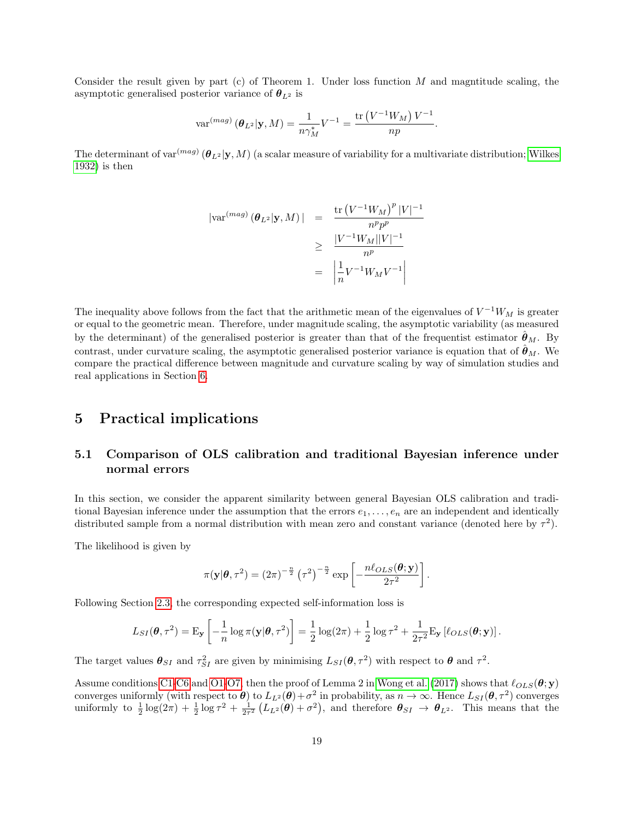Consider the result given by part (c) of Theorem 1. Under loss function  $M$  and magntitude scaling, the asymptotic generalised posterior variance of  $\theta_{L^2}$  is

$$
\text{var}^{(mag)}\left(\boldsymbol{\theta}_{L^2}|\mathbf{y},M\right) = \frac{1}{n\gamma_M^*}V^{-1} = \frac{\text{tr}\left(V^{-1}W_M\right)V^{-1}}{np}.
$$

The determinant of var<sup>(mag)</sup>  $(\bm{\theta}_{L^2}|\textbf{y},M)$  (a scalar measure of variability for a multivariate distribution; [Wilkes](#page-35-3) [1932\)](#page-35-3) is then

$$
|\text{var}^{(mag)}(\boldsymbol{\theta}_{L^2}|\mathbf{y}, M)| = \frac{\text{tr}\left(V^{-1}W_M\right)^p |V|^{-1}}{n^p p^p}
$$

$$
\geq \frac{|V^{-1}W_M||V|^{-1}}{n^p}
$$

$$
= \left|\frac{1}{n}V^{-1}W_M V^{-1}\right|
$$

The inequality above follows from the fact that the arithmetic mean of the eigenvalues of  $V^{-1}W_M$  is greater or equal to the geometric mean. Therefore, under magnitude scaling, the asymptotic variability (as measured by the determinant) of the generalised posterior is greater than that of the frequentist estimator  $\theta_M$ . By contrast, under curvature scaling, the asymptotic generalised posterior variance is equation that of  $\ddot{\theta}_M$ . We compare the practical difference between magnitude and curvature scaling by way of simulation studies and real applications in Section [6.](#page-20-0)

# <span id="page-18-0"></span>5 Practical implications

# <span id="page-18-1"></span>5.1 Comparison of OLS calibration and traditional Bayesian inference under normal errors

In this section, we consider the apparent similarity between general Bayesian OLS calibration and traditional Bayesian inference under the assumption that the errors  $e_1, \ldots, e_n$  are an independent and identically distributed sample from a normal distribution with mean zero and constant variance (denoted here by  $\tau^2$ ).

The likelihood is given by

$$
\pi(\mathbf{y}|\boldsymbol{\theta},\tau^2) = (2\pi)^{-\frac{n}{2}} (\tau^2)^{-\frac{n}{2}} \exp \left[ -\frac{n\ell_{OLS}(\boldsymbol{\theta};\mathbf{y})}{2\tau^2} \right].
$$

Following Section [2.3,](#page-6-0) the corresponding expected self-information loss is

$$
L_{SI}(\boldsymbol{\theta}, \tau^2) = \mathbf{E}_{\mathbf{y}} \left[ -\frac{1}{n} \log \pi(\mathbf{y}|\boldsymbol{\theta}, \tau^2) \right] = \frac{1}{2} \log(2\pi) + \frac{1}{2} \log \tau^2 + \frac{1}{2\tau^2} \mathbf{E}_{\mathbf{y}} \left[ \ell_{OLS}(\boldsymbol{\theta}; \mathbf{y}) \right].
$$

The target values  $\theta_{SI}$  and  $\tau_{SI}^2$  are given by minimising  $L_{SI}(\theta, \tau^2)$  with respect to  $\theta$  and  $\tau^2$ .

Assume conditions [C1](#page-9-2)[-C6](#page-9-5) and [O1-](#page-11-3)[O7,](#page-12-2) then the proof of Lemma 2 in [Wong et al. \(2017\)](#page-35-0) shows that  $\ell_{OLS}(\theta; y)$ converges uniformly (with respect to  $\theta$ ) to  $L_{L^2}(\theta) + \sigma^2$  in probability, as  $n \to \infty$ . Hence  $L_{SI}(\theta, \tau^2)$  converges uniformly to  $\frac{1}{2}\log(2\pi) + \frac{1}{2}\log \tau^2 + \frac{1}{2\tau^2}(L_{L^2}(\theta) + \sigma^2)$ , and therefore  $\theta_{SI} \to \theta_{L^2}$ . This means that the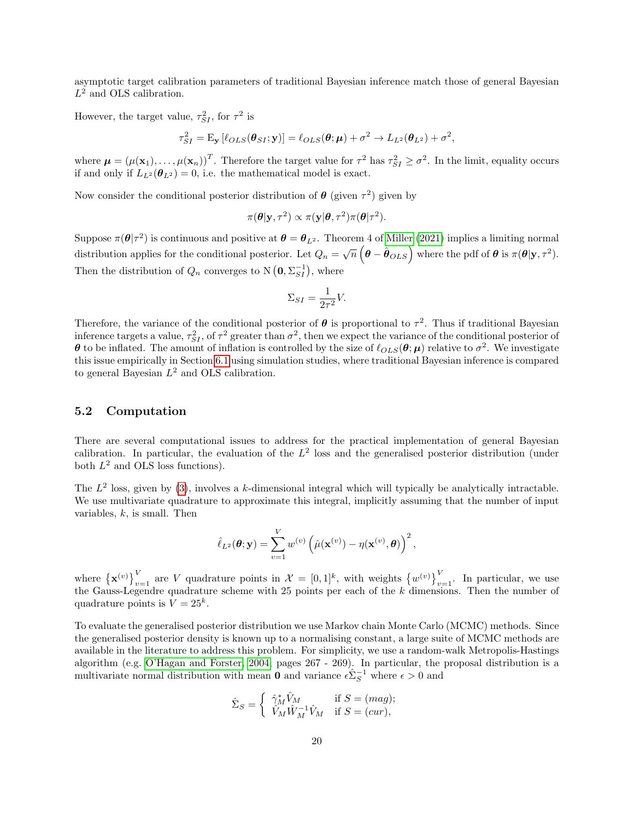asymptotic target calibration parameters of traditional Bayesian inference match those of general Bayesian  $L^2$  and OLS calibration.

However, the target value,  $\tau_{SI}^2$ , for  $\tau^2$  is

$$
\tau_{SI}^2 = \mathrm{E}_{\mathbf{y}} \left[ \ell_{OLS}(\boldsymbol{\theta}_{SI}; \mathbf{y}) \right] = \ell_{OLS}(\boldsymbol{\theta}; \boldsymbol{\mu}) + \sigma^2 \rightarrow L_{L^2}(\boldsymbol{\theta}_{L^2}) + \sigma^2,
$$

where  $\boldsymbol{\mu} = (\mu(\mathbf{x}_1), \dots, \mu(\mathbf{x}_n))^T$ . Therefore the target value for  $\tau^2$  has  $\tau_{SI}^2 \ge \sigma^2$ . In the limit, equality occurs if and only if  $L_{L^2}(\theta_{L^2}) = 0$ , i.e. the mathematical model is exact.

Now consider the conditional posterior distribution of  $\theta$  (given  $\tau^2$ ) given by

$$
\pi(\boldsymbol{\theta}|\mathbf{y},\tau^2) \propto \pi(\mathbf{y}|\boldsymbol{\theta},\tau^2)\pi(\boldsymbol{\theta}|\tau^2).
$$

Suppose  $\pi(\theta|\tau^2)$  is continuous and positive at  $\theta = \theta_{L^2}$ . Theorem 4 of [Miller \(2021\)](#page-34-11) implies a limiting normal distribution applies for the conditional posterior. Let  $Q_n = \sqrt{n} \left( \theta - \hat{\theta}_{OLS} \right)$  where the pdf of  $\theta$  is  $\pi(\theta|\mathbf{y}, \tau^2)$ . Then the distribution of  $Q_n$  converges to N  $(0, \Sigma_{SI}^{-1})$ , where

$$
\Sigma_{SI} = \frac{1}{2\tau^2} V.
$$

Therefore, the variance of the conditional posterior of  $\theta$  is proportional to  $\tau^2$ . Thus if traditional Bayesian inference targets a value,  $\tau_{SI}^2$ , of  $\tau^2$  greater than  $\sigma^2$ , then we expect the variance of the conditional posterior of  $\theta$  to be inflated. The amount of inflation is controlled by the size of  $\ell_{OLS}(\theta;\mu)$  relative to  $\sigma^2$ . We investigate this issue empirically in Section [6.1](#page-20-1) using simulation studies, where traditional Bayesian inference is compared to general Bayesian  $L^2$  and OLS calibration.

### <span id="page-19-0"></span>5.2 Computation

There are several computational issues to address for the practical implementation of general Bayesian calibration. In particular, the evaluation of the  $L^2$  loss and the generalised posterior distribution (under both  $L^2$  and OLS loss functions).

The  $L^2$  loss, given by [\(3\)](#page-3-3), involves a k-dimensional integral which will typically be analytically intractable. We use multivariate quadrature to approximate this integral, implicitly assuming that the number of input variables,  $k$ , is small. Then

$$
\hat{\ell}_{L^2}(\boldsymbol{\theta}; \mathbf{y}) = \sum_{v=1}^V w^{(v)} \left( \hat{\mu}(\mathbf{x}^{(v)}) - \eta(\mathbf{x}^{(v)}, \boldsymbol{\theta}) \right)^2,
$$

where  $\{\mathbf{x}^{(v)}\}_{v=1}^V$  are V quadrature points in  $\mathcal{X} = [0,1]^k$ , with weights  $\{w^{(v)}\}_{v=1}^V$ . In particular, we use the Gauss-Legendre quadrature scheme with 25 points per each of the  $k$  dimensions. Then the number of quadrature points is  $V = 25^k$ .

To evaluate the generalised posterior distribution we use Markov chain Monte Carlo (MCMC) methods. Since the generalised posterior density is known up to a normalising constant, a large suite of MCMC methods are available in the literature to address this problem. For simplicity, we use a random-walk Metropolis-Hastings algorithm (e.g. [O'Hagan and Forster, 2004,](#page-34-13) pages 267 - 269). In particular, the proposal distribution is a multivariate normal distribution with mean **0** and variance  $\epsilon \hat{\Sigma}_S^{-1}$  where  $\epsilon > 0$  and

$$
\hat{\Sigma}_S = \left\{ \begin{array}{ll} \hat{\gamma}_M^* \hat{V}_M & \text{if } S = (mag); \\ \hat{V}_M \hat{W}_M^{-1} \hat{V}_M & \text{if } S = (cur), \end{array} \right.
$$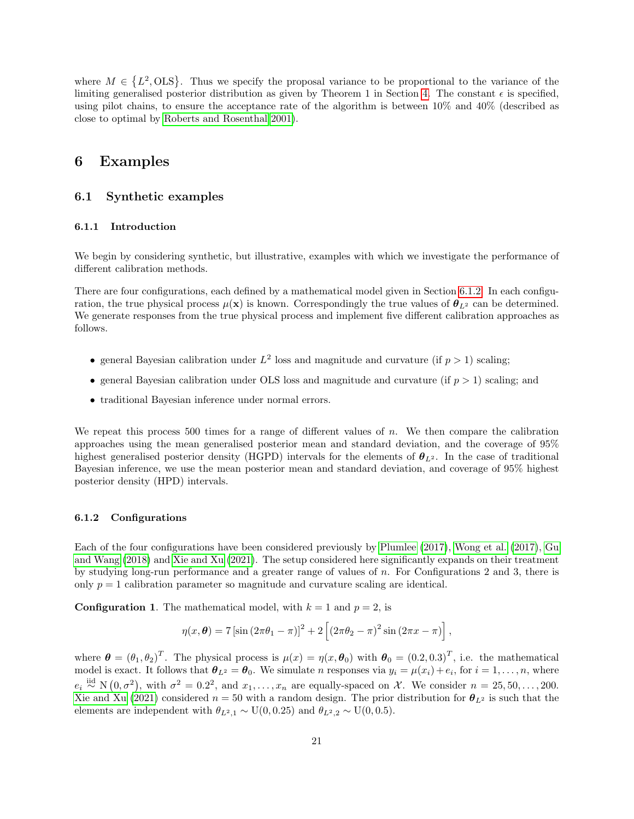where  $M \in \{L^2, OLS\}$ . Thus we specify the proposal variance to be proportional to the variance of the limiting generalised posterior distribution as given by Theorem 1 in Section [4.](#page-16-0) The constant  $\epsilon$  is specified. using pilot chains, to ensure the acceptance rate of the algorithm is between 10% and 40% (described as close to optimal by [Roberts and Rosenthal 2001\)](#page-34-14).

# <span id="page-20-0"></span>6 Examples

# <span id="page-20-1"></span>6.1 Synthetic examples

#### <span id="page-20-3"></span>6.1.1 Introduction

We begin by considering synthetic, but illustrative, examples with which we investigate the performance of different calibration methods.

There are four configurations, each defined by a mathematical model given in Section [6.1.2.](#page-20-2) In each configuration, the true physical process  $\mu(\mathbf{x})$  is known. Correspondingly the true values of  $\theta_{L^2}$  can be determined. We generate responses from the true physical process and implement five different calibration approaches as follows.

- general Bayesian calibration under  $L^2$  loss and magnitude and curvature (if  $p > 1$ ) scaling;
- general Bayesian calibration under OLS loss and magnitude and curvature (if  $p > 1$ ) scaling; and
- traditional Bayesian inference under normal errors.

We repeat this process 500 times for a range of different values of  $n$ . We then compare the calibration approaches using the mean generalised posterior mean and standard deviation, and the coverage of 95% highest generalised posterior density (HGPD) intervals for the elements of  $\theta_{L^2}$ . In the case of traditional Bayesian inference, we use the mean posterior mean and standard deviation, and coverage of 95% highest posterior density (HPD) intervals.

#### <span id="page-20-2"></span>6.1.2 Configurations

Each of the four configurations have been considered previously by [Plumlee \(2017\)](#page-34-0), [Wong et al. \(2017\)](#page-35-0), [Gu](#page-34-4) [and Wang \(2018\)](#page-34-4) and [Xie and Xu \(2021\)](#page-35-1). The setup considered here significantly expands on their treatment by studying long-run performance and a greater range of values of n. For Configurations 2 and 3, there is only  $p = 1$  calibration parameter so magnitude and curvature scaling are identical.

**Configuration 1.** The mathematical model, with  $k = 1$  and  $p = 2$ , is

$$
\eta(x,\boldsymbol{\theta})=7\left[\sin\left(2\pi\theta_1-\pi\right)\right]^2+2\left[\left(2\pi\theta_2-\pi\right)^2\sin\left(2\pi x-\pi\right)\right],
$$

where  $\boldsymbol{\theta} = (\theta_1, \theta_2)^T$ . The physical process is  $\mu(x) = \eta(x, \boldsymbol{\theta}_0)$  with  $\boldsymbol{\theta}_0 = (0.2, 0.3)^T$ , i.e. the mathematical model is exact. It follows that  $\theta_{L^2} = \theta_0$ . We simulate *n* responses via  $y_i = \mu(x_i) + e_i$ , for  $i = 1, \ldots, n$ , where  $e_i \stackrel{\text{iid}}{\sim} N(0, \sigma^2)$ , with  $\sigma^2 = 0.2^2$ , and  $x_1, \ldots, x_n$  are equally-spaced on X. We consider  $n = 25, 50, \ldots, 200$ . [Xie and Xu \(2021\)](#page-35-1) considered  $n = 50$  with a random design. The prior distribution for  $\theta_{L^2}$  is such that the elements are independent with  $\theta_{L^2,1} \sim U(0, 0.25)$  and  $\theta_{L^2,2} \sim U(0, 0.5)$ .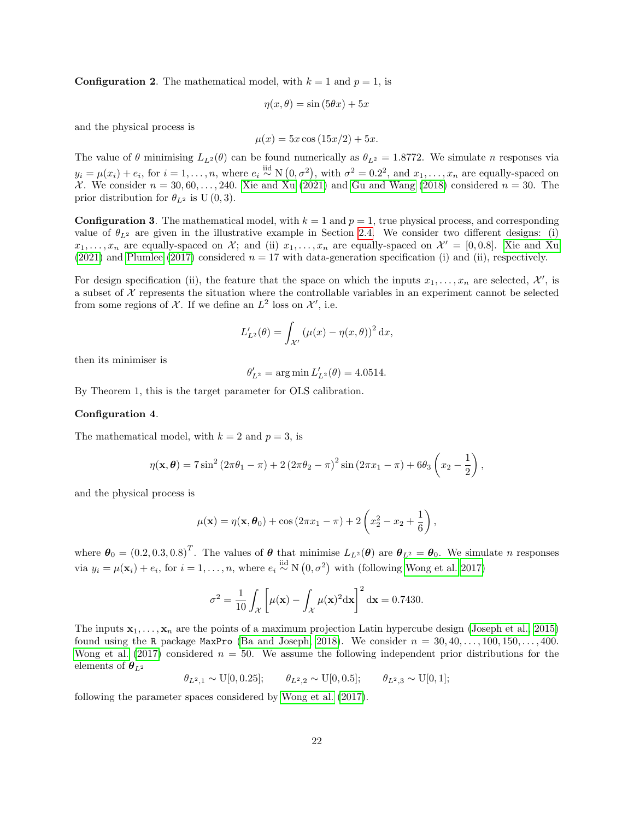**Configuration 2.** The mathematical model, with  $k = 1$  and  $p = 1$ , is

$$
\eta(x,\theta) = \sin(5\theta x) + 5x
$$

and the physical process is

$$
\mu(x) = 5x \cos(15x/2) + 5x.
$$

The value of  $\theta$  minimising  $L_{L^2}(\theta)$  can be found numerically as  $\theta_{L^2} = 1.8772$ . We simulate n responses via  $y_i = \mu(x_i) + e_i$ , for  $i = 1, \ldots, n$ , where  $e_i \stackrel{\text{iid}}{\sim} N(0, \sigma^2)$ , with  $\sigma^2 = 0.2^2$ , and  $x_1, \ldots, x_n$  are equally-spaced on X. We consider  $n = 30, 60, \ldots, 240$ . Xie and  $\chi_{\text{u}}(2021)$  and [Gu and Wang \(2018\)](#page-34-4) considered  $n = 30$ . The prior distribution for  $\theta_{L^2}$  is U (0, 3).

**Configuration 3.** The mathematical model, with  $k = 1$  and  $p = 1$ , true physical process, and corresponding value of  $\theta_{L^2}$  are given in the illustrative example in Section [2.4.](#page-7-1) We consider two different designs: (i)  $x_1, \ldots, x_n$  are equally-spaced on X; and (ii)  $x_1, \ldots, x_n$  are equally-spaced on  $\mathcal{X}' = [0, 0.8]$ . [Xie and Xu](#page-35-1) [\(2021\)](#page-35-1) and [Plumlee \(2017\)](#page-34-0) considered  $n = 17$  with data-generation specification (i) and (ii), respectively.

For design specification (ii), the feature that the space on which the inputs  $x_1, \ldots, x_n$  are selected,  $\mathcal{X}'$ , is a subset of  $\mathcal X$  represents the situation where the controllable variables in an experiment cannot be selected from some regions of X. If we define an  $L^2$  loss on  $\mathcal{X}'$ , i.e.

$$
L'_{L^2}(\theta) = \int_{\mathcal{X}'} (\mu(x) - \eta(x,\theta))^2 dx,
$$

then its minimiser is

$$
\theta'_{L^2} = \arg\min L'_{L^2}(\theta) = 4.0514.
$$

By Theorem 1, this is the target parameter for OLS calibration.

#### Configuration 4.

The mathematical model, with  $k = 2$  and  $p = 3$ , is

$$
\eta(\mathbf{x}, \theta) = 7\sin^2(2\pi\theta_1 - \pi) + 2(2\pi\theta_2 - \pi)^2\sin(2\pi x_1 - \pi) + 6\theta_3\left(x_2 - \frac{1}{2}\right),
$$

and the physical process is

$$
\mu(\mathbf{x}) = \eta(\mathbf{x}, \boldsymbol{\theta}_0) + \cos(2\pi x_1 - \pi) + 2\left(x_2^2 - x_2 + \frac{1}{6}\right),
$$

where  $\boldsymbol{\theta}_0 = (0.2, 0.3, 0.8)^T$ . The values of  $\boldsymbol{\theta}$  that minimise  $L_{L^2}(\boldsymbol{\theta})$  are  $\boldsymbol{\theta}_{L^2} = \boldsymbol{\theta}_0$ . We simulate n responses via  $y_i = \mu(\mathbf{x}_i) + e_i$ , for  $i = 1, ..., n$ , where  $e_i \stackrel{\text{iid}}{\sim} N(0, \sigma^2)$  with (following [Wong et al. 2017\)](#page-35-0)

$$
\sigma^2 = \frac{1}{10} \int_{\mathcal{X}} \left[ \mu(\mathbf{x}) - \int_{\mathcal{X}} \mu(\mathbf{x})^2 d\mathbf{x} \right]^2 d\mathbf{x} = 0.7430.
$$

The inputs  $x_1, \ldots, x_n$  are the points of a maximum projection Latin hypercube design [\(Joseph et al., 2015\)](#page-34-15) found using the R package MaxPro [\(Ba and Joseph, 2018\)](#page-33-0). We consider  $n = 30, 40, \ldots, 100, 150, \ldots, 400$ . [Wong et al. \(2017\)](#page-35-0) considered  $n = 50$ . We assume the following independent prior distributions for the elements of  $\theta_{L^2}$ 

 $\theta_{L^2,1} \sim \text{U}[0, 0.25]; \quad \theta_{L^2,2} \sim \text{U}[0, 0.5]; \quad \theta_{L^2,3} \sim \text{U}[0, 1];$ 

following the parameter spaces considered by [Wong et al. \(2017\)](#page-35-0).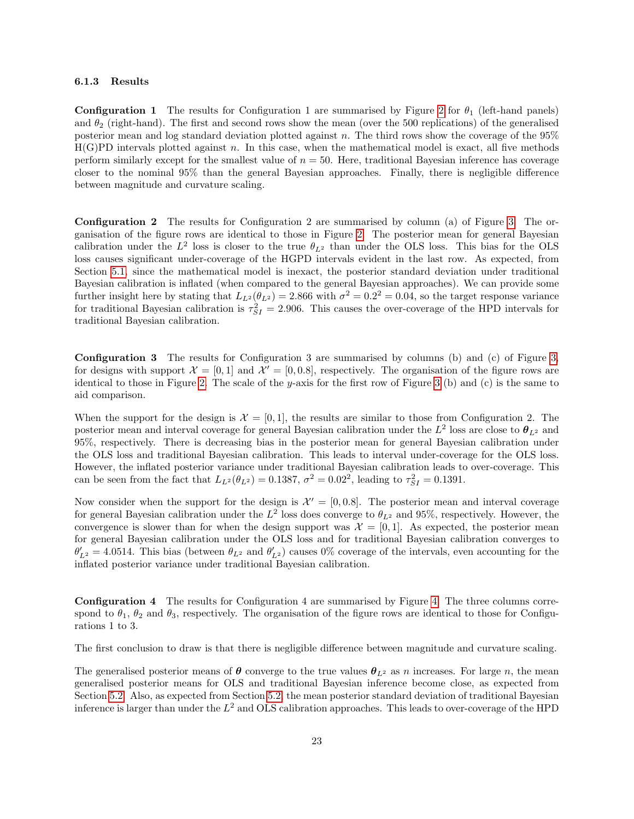#### 6.1.3 Results

**Configuration 1** The results for Configuration 1 are summarised by Figure [2](#page-23-0) for  $\theta_1$  (left-hand panels) and  $\theta_2$  (right-hand). The first and second rows show the mean (over the 500 replications) of the generalised posterior mean and log standard deviation plotted against n. The third rows show the coverage of the 95%  $H(G)PD$  intervals plotted against n. In this case, when the mathematical model is exact, all five methods perform similarly except for the smallest value of  $n = 50$ . Here, traditional Bayesian inference has coverage closer to the nominal 95% than the general Bayesian approaches. Finally, there is negligible difference between magnitude and curvature scaling.

Configuration 2 The results for Configuration 2 are summarised by column (a) of Figure [3.](#page-24-0) The organisation of the figure rows are identical to those in Figure [2.](#page-23-0) The posterior mean for general Bayesian calibration under the  $L^2$  loss is closer to the true  $\theta_{L^2}$  than under the OLS loss. This bias for the OLS loss causes significant under-coverage of the HGPD intervals evident in the last row. As expected, from Section [5.1,](#page-18-1) since the mathematical model is inexact, the posterior standard deviation under traditional Bayesian calibration is inflated (when compared to the general Bayesian approaches). We can provide some further insight here by stating that  $L_{L^2}(\theta_{L^2}) = 2.866$  with  $\sigma^2 = 0.2^2 = 0.04$ , so the target response variance for traditional Bayesian calibration is  $\tau_{SI}^2 = 2.906$ . This causes the over-coverage of the HPD intervals for traditional Bayesian calibration.

Configuration 3 The results for Configuration 3 are summarised by columns (b) and (c) of Figure [3,](#page-24-0) for designs with support  $\mathcal{X} = [0, 1]$  and  $\mathcal{X}' = [0, 0.8]$ , respectively. The organisation of the figure rows are identical to those in Figure [2.](#page-23-0) The scale of the y-axis for the first row of Figure [3](#page-24-0) (b) and (c) is the same to aid comparison.

When the support for the design is  $\mathcal{X} = [0, 1]$ , the results are similar to those from Configuration 2. The posterior mean and interval coverage for general Bayesian calibration under the  $L^2$  loss are close to  $\theta_{L^2}$  and 95%, respectively. There is decreasing bias in the posterior mean for general Bayesian calibration under the OLS loss and traditional Bayesian calibration. This leads to interval under-coverage for the OLS loss. However, the inflated posterior variance under traditional Bayesian calibration leads to over-coverage. This can be seen from the fact that  $L_{L^2}(\theta_{L^2}) = 0.1387, \sigma^2 = 0.02^2$ , leading to  $\tau_{SI}^2 = 0.1391$ .

Now consider when the support for the design is  $\mathcal{X}' = [0, 0.8]$ . The posterior mean and interval coverage for general Bayesian calibration under the  $L^2$  loss does converge to  $\theta_{L^2}$  and 95%, respectively. However, the convergence is slower than for when the design support was  $\mathcal{X} = [0, 1]$ . As expected, the posterior mean for general Bayesian calibration under the OLS loss and for traditional Bayesian calibration converges to  $\theta'_{L^2} = 4.0514$ . This bias (between  $\theta_{L^2}$  and  $\theta'_{L^2}$ ) causes 0% coverage of the intervals, even accounting for the inflated posterior variance under traditional Bayesian calibration.

Configuration 4 The results for Configuration 4 are summarised by Figure [4.](#page-26-0) The three columns correspond to  $\theta_1$ ,  $\theta_2$  and  $\theta_3$ , respectively. The organisation of the figure rows are identical to those for Configurations 1 to 3.

The first conclusion to draw is that there is negligible difference between magnitude and curvature scaling.

The generalised posterior means of  $\theta$  converge to the true values  $\theta_{L^2}$  as n increases. For large n, the mean generalised posterior means for OLS and traditional Bayesian inference become close, as expected from Section [5.2.](#page-19-0) Also, as expected from Section [5.2,](#page-19-0) the mean posterior standard deviation of traditional Bayesian inference is larger than under the  $L^2$  and OLS calibration approaches. This leads to over-coverage of the HPD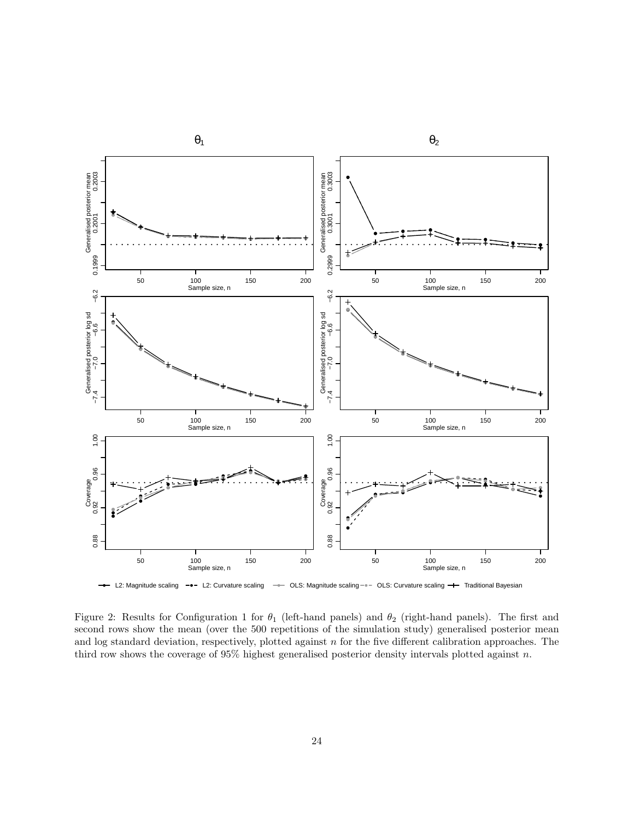

<span id="page-23-0"></span>Figure 2: Results for Configuration 1 for  $\theta_1$  (left-hand panels) and  $\theta_2$  (right-hand panels). The first and second rows show the mean (over the 500 repetitions of the simulation study) generalised posterior mean and log standard deviation, respectively, plotted against n for the five different calibration approaches. The third row shows the coverage of  $95\%$  highest generalised posterior density intervals plotted against n.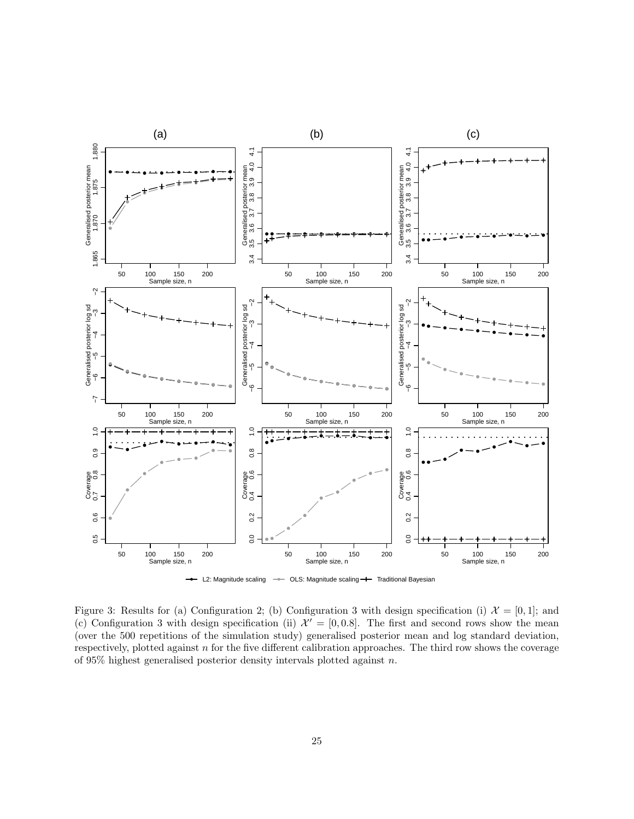

L2: Magnitude scaling  $\rightarrow$  OLS: Magnitude scaling  $\rightarrow$  Traditional Bayesian

<span id="page-24-0"></span>Figure 3: Results for (a) Configuration 2; (b) Configuration 3 with design specification (i)  $\mathcal{X} = [0, 1]$ ; and (c) Configuration 3 with design specification (ii)  $\mathcal{X}' = [0, 0.8]$ . The first and second rows show the mean (over the 500 repetitions of the simulation study) generalised posterior mean and log standard deviation, respectively, plotted against n for the five different calibration approaches. The third row shows the coverage of 95% highest generalised posterior density intervals plotted against n.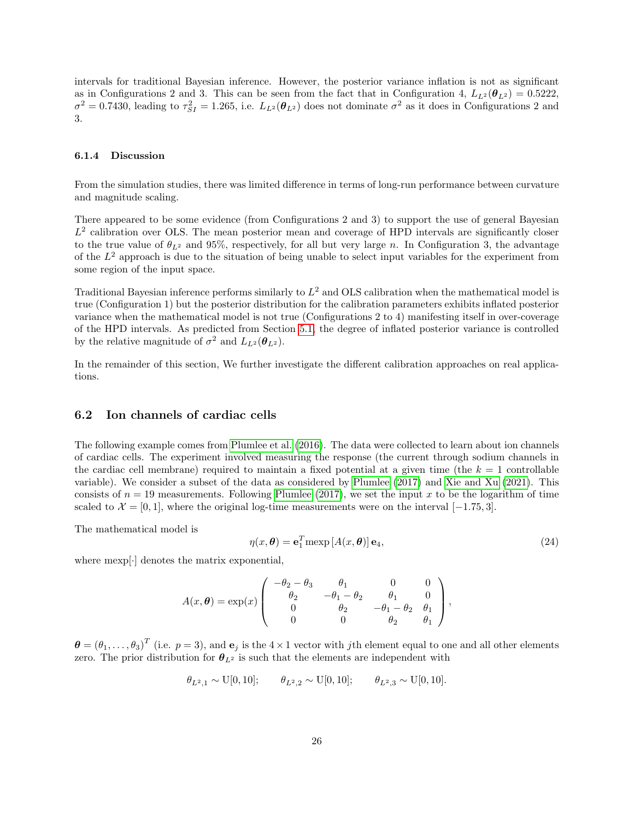intervals for traditional Bayesian inference. However, the posterior variance inflation is not as significant as in Configurations 2 and 3. This can be seen from the fact that in Configuration 4,  $L_{L^2}(\theta_{L^2}) = 0.5222$ ,  $\sigma^2 = 0.7430$ , leading to  $\tau_{SI}^2 = 1.265$ , i.e.  $L_{L^2}(\theta_{L^2})$  does not dominate  $\sigma^2$  as it does in Configurations 2 and 3.

#### 6.1.4 Discussion

From the simulation studies, there was limited difference in terms of long-run performance between curvature and magnitude scaling.

There appeared to be some evidence (from Configurations 2 and 3) to support the use of general Bayesian  $L<sup>2</sup>$  calibration over OLS. The mean posterior mean and coverage of HPD intervals are significantly closer to the true value of  $\theta_{L^2}$  and 95%, respectively, for all but very large n. In Configuration 3, the advantage of the  $L^2$  approach is due to the situation of being unable to select input variables for the experiment from some region of the input space.

Traditional Bayesian inference performs similarly to  $L^2$  and OLS calibration when the mathematical model is true (Configuration 1) but the posterior distribution for the calibration parameters exhibits inflated posterior variance when the mathematical model is not true (Configurations 2 to 4) manifesting itself in over-coverage of the HPD intervals. As predicted from Section [5.1,](#page-18-1) the degree of inflated posterior variance is controlled by the relative magnitude of  $\sigma^2$  and  $L_{L^2}(\theta_{L^2})$ .

In the remainder of this section, We further investigate the different calibration approaches on real applications.

# <span id="page-25-0"></span>6.2 Ion channels of cardiac cells

The following example comes from [Plumlee et al. \(2016\)](#page-34-16). The data were collected to learn about ion channels of cardiac cells. The experiment involved measuring the response (the current through sodium channels in the cardiac cell membrane) required to maintain a fixed potential at a given time (the  $k = 1$  controllable variable). We consider a subset of the data as considered by [Plumlee \(2017\)](#page-34-0) and [Xie and Xu \(2021\)](#page-35-1). This consists of  $n = 19$  measurements. Following [Plumlee \(2017\)](#page-34-0), we set the input x to be the logarithm of time scaled to  $\mathcal{X} = [0, 1]$ , where the original log-time measurements were on the interval [−1.75, 3].

The mathematical model is

$$
\eta(x,\boldsymbol{\theta}) = \mathbf{e}_1^T \operatorname{mexp}\left[A(x,\boldsymbol{\theta})\right] \mathbf{e}_4,\tag{24}
$$

where mexp[·] denotes the matrix exponential,

$$
A(x, \theta) = \exp(x) \begin{pmatrix} -\theta_2 - \theta_3 & \theta_1 & 0 & 0 \\ \theta_2 & -\theta_1 - \theta_2 & \theta_1 & 0 \\ 0 & \theta_2 & -\theta_1 - \theta_2 & \theta_1 \\ 0 & 0 & \theta_2 & \theta_1 \end{pmatrix},
$$

 $\boldsymbol{\theta} = (\theta_1, \dots, \theta_3)^T$  (i.e.  $p = 3$ ), and  $\mathbf{e}_j$  is the  $4 \times 1$  vector with jth element equal to one and all other elements zero. The prior distribution for  $\theta_{L^2}$  is such that the elements are independent with

$$
\theta_{L^2,1} \sim \text{U}[0,10]; \quad \theta_{L^2,2} \sim \text{U}[0,10]; \quad \theta_{L^2,3} \sim \text{U}[0,10].
$$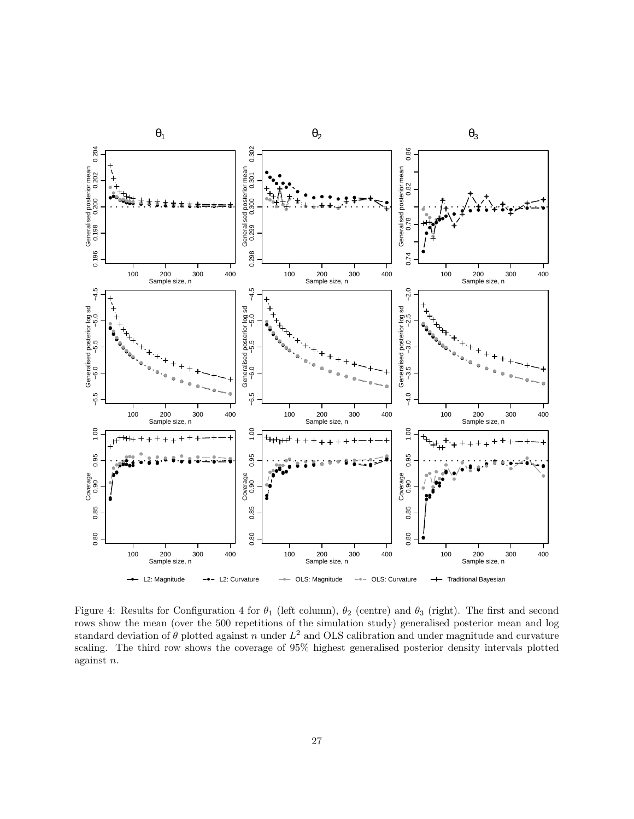

<span id="page-26-0"></span>Figure 4: Results for Configuration 4 for  $\theta_1$  (left column),  $\theta_2$  (centre) and  $\theta_3$  (right). The first and second rows show the mean (over the 500 repetitions of the simulation study) generalised posterior mean and log standard deviation of  $\theta$  plotted against n under  $L^2$  and OLS calibration and under magnitude and curvature scaling. The third row shows the coverage of 95% highest generalised posterior density intervals plotted against n.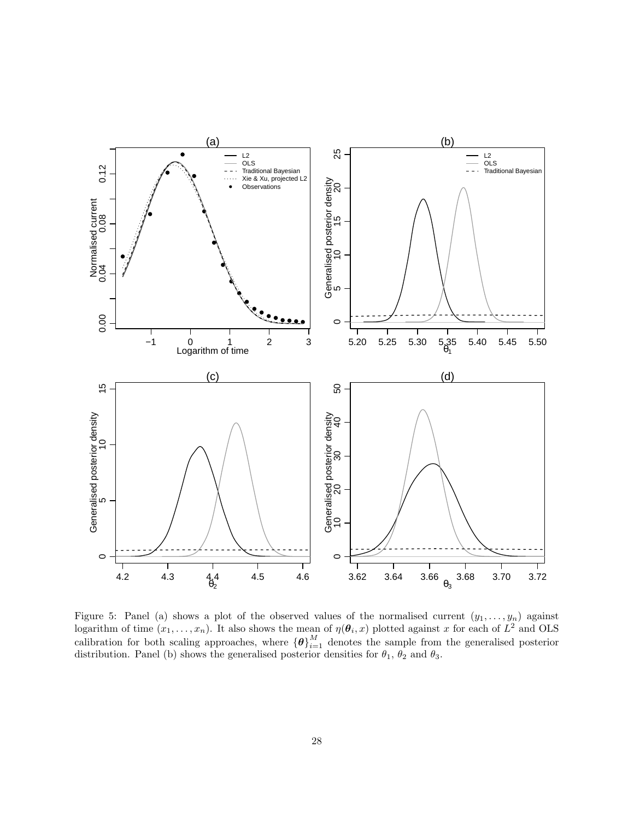

<span id="page-27-0"></span>Figure 5: Panel (a) shows a plot of the observed values of the normalised current  $(y_1, \ldots, y_n)$  against logarithm of time  $(x_1, \ldots, x_n)$ . It also shows the mean of  $\eta(\theta_i, x)$  plotted against x for each of  $L^2$  and OLS calibration for both scaling approaches, where  ${\lbrace \boldsymbol{\theta} \rbrace}_{i=1}^M$  denotes the sample from the generalised posterior distribution. Panel (b) shows the generalised posterior densities for  $\theta_1$ ,  $\theta_2$  and  $\theta_3$ .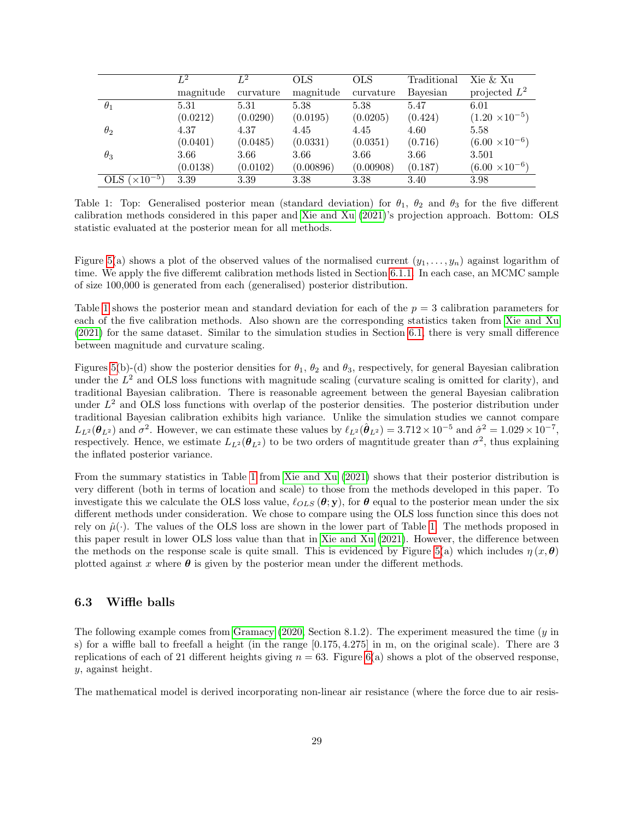|                        | $L^2$     | $L^2$     | <b>OLS</b> | <b>OLS</b> | Traditional | Xie & Xu                |
|------------------------|-----------|-----------|------------|------------|-------------|-------------------------|
|                        | magnitude | curvature | magnitude  | curvature  | Bayesian    | projected $L^2$         |
| $\theta_1$             | 5.31      | 5.31      | 5.38       | 5.38       | 5.47        | 6.01                    |
|                        | (0.0212)  | (0.0290)  | (0.0195)   | (0.0205)   | (0.424)     | $(1.20 \times 10^{-5})$ |
| $\theta_2$             | 4.37      | 4.37      | 4.45       | 4.45       | 4.60        | 5.58                    |
|                        | (0.0401)  | (0.0485)  | (0.0331)   | (0.0351)   | (0.716)     | $(6.00 \times 10^{-6})$ |
| $\theta_3$             | 3.66      | 3.66      | 3.66       | 3.66       | 3.66        | 3.501                   |
|                        | (0.0138)  | (0.0102)  | (0.00896)  | (0.00908)  | (0.187)     | $(6.00 \times 10^{-6})$ |
| OLS $(\times 10^{-5})$ | 3.39      | 3.39      | 3.38       | 3.38       | 3.40        | 3.98                    |

<span id="page-28-0"></span>Table 1: Top: Generalised posterior mean (standard deviation) for  $\theta_1$ ,  $\theta_2$  and  $\theta_3$  for the five different calibration methods considered in this paper and [Xie and Xu \(2021\)](#page-35-1)'s projection approach. Bottom: OLS statistic evaluated at the posterior mean for all methods.

Figure [5\(](#page-27-0)a) shows a plot of the observed values of the normalised current  $(y_1, \ldots, y_n)$  against logarithm of time. We apply the five differemt calibration methods listed in Section [6.1.1.](#page-20-3) In each case, an MCMC sample of size 100,000 is generated from each (generalised) posterior distribution.

Table [1](#page-28-0) shows the posterior mean and standard deviation for each of the  $p = 3$  calibration parameters for each of the five calibration methods. Also shown are the corresponding statistics taken from [Xie and Xu](#page-35-1) [\(2021\)](#page-35-1) for the same dataset. Similar to the simulation studies in Section [6.1,](#page-20-1) there is very small difference between magnitude and curvature scaling.

Figures [5\(](#page-27-0)b)-(d) show the posterior densities for  $\theta_1$ ,  $\theta_2$  and  $\theta_3$ , respectively, for general Bayesian calibration under the  $L^2$  and OLS loss functions with magnitude scaling (curvature scaling is omitted for clarity), and traditional Bayesian calibration. There is reasonable agreement between the general Bayesian calibration under  $L^2$  and OLS loss functions with overlap of the posterior densities. The posterior distribution under traditional Bayesian calibration exhibits high variance. Unlike the simulation studies we cannot compare  $L_{L^2}(\theta_{L^2})$  and  $\sigma^2$ . However, we can estimate these values by  $\ell_{L^2}(\hat{\theta}_{L^2}) = 3.712 \times 10^{-5}$  and  $\hat{\sigma}^2 = 1.029 \times 10^{-7}$ , respectively. Hence, we estimate  $L_{L^2}(\theta_{L^2})$  to be two orders of magnitude greater than  $\sigma^2$ , thus explaining the inflated posterior variance.

From the summary statistics in Table [1](#page-28-0) from [Xie and Xu \(2021\)](#page-35-1) shows that their posterior distribution is very different (both in terms of location and scale) to those from the methods developed in this paper. To investigate this we calculate the OLS loss value,  $\ell_{OLS}(\theta; y)$ , for  $\theta$  equal to the posterior mean under the six different methods under consideration. We chose to compare using the OLS loss function since this does not rely on  $\hat{\mu}(\cdot)$ . The values of the OLS loss are shown in the lower part of Table [1.](#page-28-0) The methods proposed in this paper result in lower OLS loss value than that in [Xie and Xu \(2021\)](#page-35-1). However, the difference between the methods on the response scale is quite small. This is evidenced by Figure [5\(](#page-27-0)a) which includes  $\eta(x, \theta)$ plotted against x where  $\theta$  is given by the posterior mean under the different methods.

### 6.3 Wiffle balls

The following example comes from [Gramacy \(2020,](#page-34-17) Section 8.1.2). The experiment measured the time  $(y \text{ in }$ s) for a wiffle ball to freefall a height (in the range [0.175, 4.275] in m, on the original scale). There are 3 replications of each of 21 different heights giving  $n = 63$ . Figure [6\(](#page-29-0)a) shows a plot of the observed response, y, against height.

The mathematical model is derived incorporating non-linear air resistance (where the force due to air resis-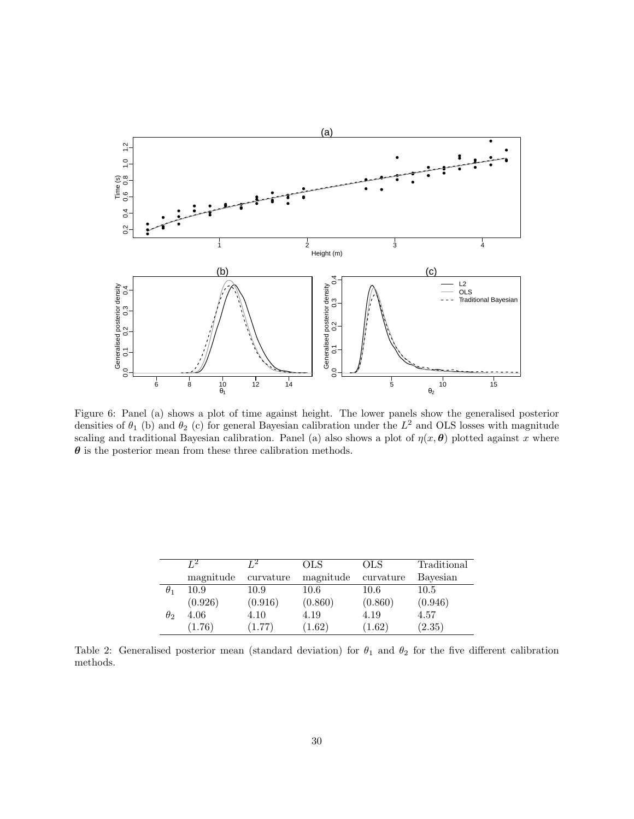

<span id="page-29-0"></span>Figure 6: Panel (a) shows a plot of time against height. The lower panels show the generalised posterior densities of  $\theta_1$  (b) and  $\theta_2$  (c) for general Bayesian calibration under the  $L^2$  and OLS losses with magnitude scaling and traditional Bayesian calibration. Panel (a) also shows a plot of  $\eta(x, \theta)$  plotted against x where  $\theta$  is the posterior mean from these three calibration methods.

|            | $L^2$     | г2        | OLS       | <b>OLS</b> | Traditional |
|------------|-----------|-----------|-----------|------------|-------------|
|            | magnitude | curvature | magnitude | curvature  | Bayesian    |
| $\theta_1$ | 10.9      | 10.9      | 10.6      | 10.6       | 10.5        |
|            | (0.926)   | (0.916)   | (0.860)   | (0.860)    | (0.946)     |
| $\theta_2$ | 4.06      | 4.10      | 4.19      | 4.19       | 4.57        |
|            | (1.76)    | (1.77)    | 1.62)     | (1.62)     | (2.35)      |

<span id="page-29-1"></span>Table 2: Generalised posterior mean (standard deviation) for  $\theta_1$  and  $\theta_2$  for the five different calibration methods.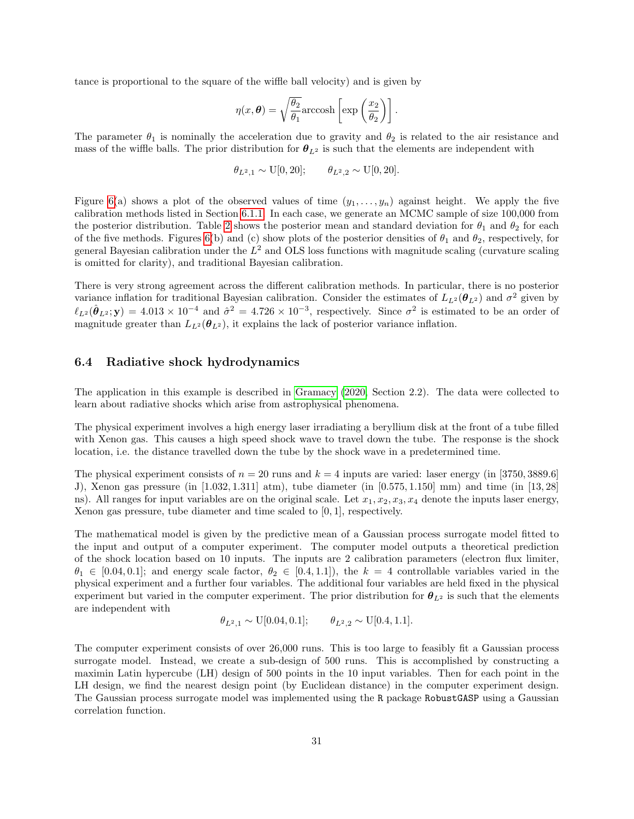tance is proportional to the square of the wiffle ball velocity) and is given by

$$
\eta(x,\boldsymbol{\theta}) = \sqrt{\frac{\theta_2}{\theta_1}} \operatorname{arccosh}\left[\exp\left(\frac{x_2}{\theta_2}\right)\right].
$$

The parameter  $\theta_1$  is nominally the acceleration due to gravity and  $\theta_2$  is related to the air resistance and mass of the wiffle balls. The prior distribution for  $\theta_{L^2}$  is such that the elements are independent with

$$
\theta_{L^2,1} \sim \text{U}[0,20]; \qquad \theta_{L^2,2} \sim \text{U}[0,20].
$$

Figure [6\(](#page-29-0)a) shows a plot of the observed values of time  $(y_1, \ldots, y_n)$  against height. We apply the five calibration methods listed in Section [6.1.1.](#page-20-3) In each case, we generate an MCMC sample of size 100,000 from the posterior distribution. Table [2](#page-29-1) shows the posterior mean and standard deviation for  $\theta_1$  and  $\theta_2$  for each of the five methods. Figures [6\(](#page-29-0)b) and (c) show plots of the posterior densities of  $\theta_1$  and  $\theta_2$ , respectively, for general Bayesian calibration under the  $L^2$  and OLS loss functions with magnitude scaling (curvature scaling is omitted for clarity), and traditional Bayesian calibration.

There is very strong agreement across the different calibration methods. In particular, there is no posterior variance inflation for traditional Bayesian calibration. Consider the estimates of  $L_{L^2}(\theta_{L^2})$  and  $\sigma^2$  given by  $\ell_{L^2}(\hat{\theta}_{L^2}; \mathbf{y}) = 4.013 \times 10^{-4}$  and  $\hat{\sigma}^2 = 4.726 \times 10^{-3}$ , respectively. Since  $\sigma^2$  is estimated to be an order of magnitude greater than  $L_{L^2}(\theta_{L^2})$ , it explains the lack of posterior variance inflation.

#### <span id="page-30-0"></span>6.4 Radiative shock hydrodynamics

The application in this example is described in [Gramacy \(2020,](#page-34-17) Section 2.2). The data were collected to learn about radiative shocks which arise from astrophysical phenomena.

The physical experiment involves a high energy laser irradiating a beryllium disk at the front of a tube filled with Xenon gas. This causes a high speed shock wave to travel down the tube. The response is the shock location, i.e. the distance travelled down the tube by the shock wave in a predetermined time.

The physical experiment consists of  $n = 20$  runs and  $k = 4$  inputs are varied: laser energy (in [3750, 3889.6] J), Xenon gas pressure (in [1.032, 1.311] atm), tube diameter (in [0.575, 1.150] mm) and time (in [13, 28] ns). All ranges for input variables are on the original scale. Let  $x_1, x_2, x_3, x_4$  denote the inputs laser energy, Xenon gas pressure, tube diameter and time scaled to [0, 1], respectively.

The mathematical model is given by the predictive mean of a Gaussian process surrogate model fitted to the input and output of a computer experiment. The computer model outputs a theoretical prediction of the shock location based on 10 inputs. The inputs are 2 calibration parameters (electron flux limiter,  $\theta_1 \in [0.04, 0.1]$ ; and energy scale factor,  $\theta_2 \in [0.4, 1.1]$ , the  $k = 4$  controllable variables varied in the physical experiment and a further four variables. The additional four variables are held fixed in the physical experiment but varied in the computer experiment. The prior distribution for  $\theta_{L^2}$  is such that the elements are independent with

$$
\theta_{L^2,1} \sim \text{U}[0.04, 0.1]; \qquad \theta_{L^2,2} \sim \text{U}[0.4, 1.1].
$$

The computer experiment consists of over 26,000 runs. This is too large to feasibly fit a Gaussian process surrogate model. Instead, we create a sub-design of 500 runs. This is accomplished by constructing a maximin Latin hypercube (LH) design of 500 points in the 10 input variables. Then for each point in the LH design, we find the nearest design point (by Euclidean distance) in the computer experiment design. The Gaussian process surrogate model was implemented using the R package RobustGASP using a Gaussian correlation function.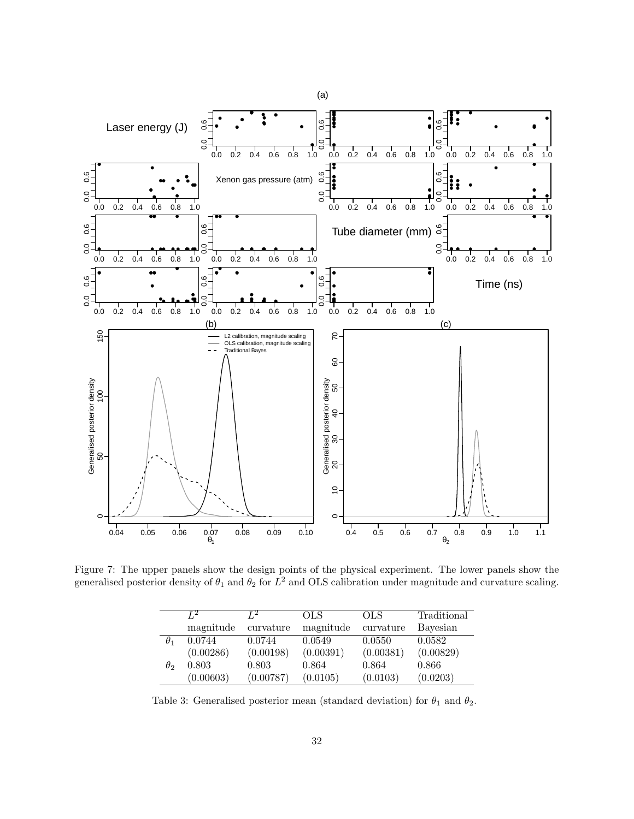

<span id="page-31-0"></span>Figure 7: The upper panels show the design points of the physical experiment. The lower panels show the generalised posterior density of  $\theta_1$  and  $\theta_2$  for  $L^2$  and OLS calibration under magnitude and curvature scaling.

|            | Т.2       | Т2        | OLS       | OLS       | Traditional |
|------------|-----------|-----------|-----------|-----------|-------------|
|            | magnitude | curvature | magnitude | curvature | Bayesian    |
| $\theta_1$ | 0.0744    | 0.0744    | 0.0549    | 0.0550    | 0.0582      |
|            | (0.00286) | (0.00198) | (0.00391) | (0.00381) | (0.00829)   |
| $\theta_2$ | 0.803     | 0.803     | 0.864     | 0.864     | 0.866       |
|            | (0.00603) | (0.00787) | (0.0105)  | (0.0103)  | (0.0203)    |

<span id="page-31-1"></span>Table 3: Generalised posterior mean (standard deviation) for  $\theta_1$  and  $\theta_2$ .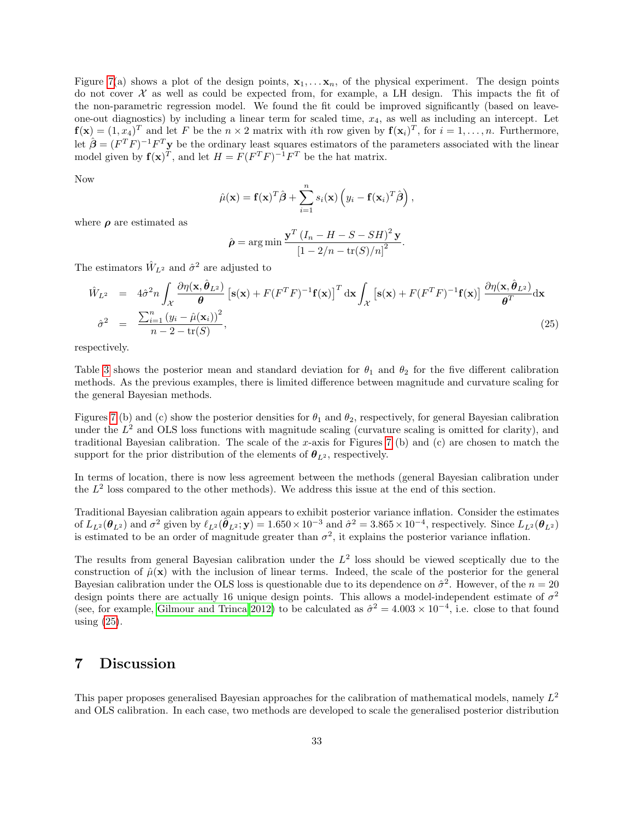Figure [7\(](#page-31-0)a) shows a plot of the design points,  $x_1, \ldots, x_n$ , of the physical experiment. The design points do not cover  $\mathcal X$  as well as could be expected from, for example, a LH design. This impacts the fit of the non-parametric regression model. We found the fit could be improved significantly (based on leaveone-out diagnostics) by including a linear term for scaled time,  $x_4$ , as well as including an intercept. Let  $f(x) = (1, x_4)^T$  and let F be the  $n \times 2$  matrix with *i*th row given by  $f(x_i)^T$ , for  $i = 1, ..., n$ . Furthermore, let  $\hat{\boldsymbol{\beta}} = (F^T F)^{-1} F^T \mathbf{y}$  be the ordinary least squares estimators of the parameters associated with the linear model given by  $f(x)^T$ , and let  $H = F(F^T F)^{-1} F^T$  be the hat matrix.

Now

$$
\hat{\mu}(\mathbf{x}) = \mathbf{f}(\mathbf{x})^T \hat{\boldsymbol{\beta}} + \sum_{i=1}^n s_i(\mathbf{x}) \left( y_i - \mathbf{f}(\mathbf{x}_i)^T \hat{\boldsymbol{\beta}} \right),
$$

where  $\rho$  are estimated as

$$
\hat{\rho} = \arg \min \frac{\mathbf{y}^T \left(I_n - H - S - SH\right)^2 \mathbf{y}}{\left[1 - 2/n - \text{tr}(S)/n\right]^2}.
$$

The estimators  $\hat{W}_{L^2}$  and  $\hat{\sigma}^2$  are adjusted to

<span id="page-32-0"></span>
$$
\hat{W}_{L^2} = 4\hat{\sigma}^2 n \int_{\mathcal{X}} \frac{\partial \eta(\mathbf{x}, \hat{\boldsymbol{\theta}}_{L^2})}{\boldsymbol{\theta}} \left[\mathbf{s}(\mathbf{x}) + F(F^T F)^{-1} \mathbf{f}(\mathbf{x})\right]^T \mathrm{d}\mathbf{x} \int_{\mathcal{X}} \left[\mathbf{s}(\mathbf{x}) + F(F^T F)^{-1} \mathbf{f}(\mathbf{x})\right] \frac{\partial \eta(\mathbf{x}, \hat{\boldsymbol{\theta}}_{L^2})}{\boldsymbol{\theta}^T} \mathrm{d}\mathbf{x}
$$
\n
$$
\hat{\sigma}^2 = \frac{\sum_{i=1}^n (y_i - \hat{\mu}(\mathbf{x}_i))^2}{n - 2 - \text{tr}(S)},
$$
\n(25)

respectively.

Table [3](#page-31-1) shows the posterior mean and standard deviation for  $\theta_1$  and  $\theta_2$  for the five different calibration methods. As the previous examples, there is limited difference between magnitude and curvature scaling for the general Bayesian methods.

Figures [7](#page-31-0) (b) and (c) show the posterior densities for  $\theta_1$  and  $\theta_2$ , respectively, for general Bayesian calibration under the  $L^2$  and OLS loss functions with magnitude scaling (curvature scaling is omitted for clarity), and traditional Bayesian calibration. The scale of the x-axis for Figures [7](#page-31-0) (b) and (c) are chosen to match the support for the prior distribution of the elements of  $\theta_{L^2}$ , respectively.

In terms of location, there is now less agreement between the methods (general Bayesian calibration under the  $L^2$  loss compared to the other methods). We address this issue at the end of this section.

Traditional Bayesian calibration again appears to exhibit posterior variance inflation. Consider the estimates of  $L_{L^2}(\theta_{L^2})$  and  $\sigma^2$  given by  $\ell_{L^2}(\tilde{\theta}_{L^2}; \mathbf{y}) = 1.650 \times 10^{-3}$  and  $\hat{\sigma}^2 = 3.865 \times 10^{-4}$ , respectively. Since  $L_{L^2}(\theta_{L^2})$ is estimated to be an order of magnitude greater than  $\sigma^2$ , it explains the posterior variance inflation.

The results from general Bayesian calibration under the  $L^2$  loss should be viewed sceptically due to the construction of  $\hat{\mu}(\mathbf{x})$  with the inclusion of linear terms. Indeed, the scale of the posterior for the general Bayesian calibration under the OLS loss is questionable due to its dependence on  $\hat{\sigma}^2$ . However, of the  $n = 20$ design points there are actually 16 unique design points. This allows a model-independent estimate of  $\sigma^2$ (see, for example, [Gilmour and Trinca 2012\)](#page-34-18) to be calculated as  $\hat{\sigma}^2 = 4.003 \times 10^{-4}$ , i.e. close to that found using [\(25\)](#page-32-0).

# 7 Discussion

This paper proposes generalised Bayesian approaches for the calibration of mathematical models, namely  $L^2$ and OLS calibration. In each case, two methods are developed to scale the generalised posterior distribution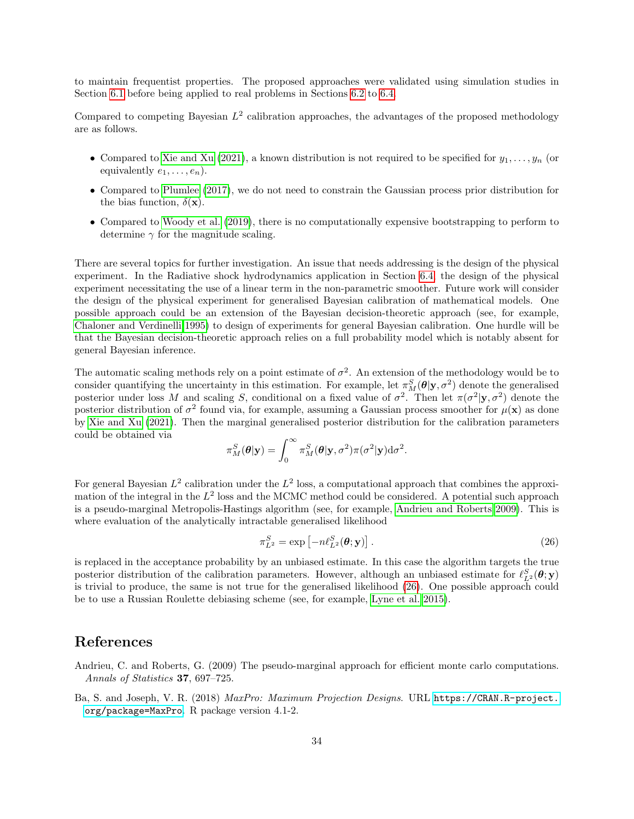to maintain frequentist properties. The proposed approaches were validated using simulation studies in Section [6.1](#page-20-1) before being applied to real problems in Sections [6.2](#page-25-0) to [6.4.](#page-30-0)

Compared to competing Bayesian  $L^2$  calibration approaches, the advantages of the proposed methodology are as follows.

- Compared to [Xie and Xu \(2021\)](#page-35-1), a known distribution is not required to be specified for  $y_1, \ldots, y_n$  (or equivalently  $e_1, \ldots, e_n$ ).
- Compared to [Plumlee \(2017\)](#page-34-0), we do not need to constrain the Gaussian process prior distribution for the bias function,  $\delta(\mathbf{x})$ .
- Compared to [Woody et al. \(2019\)](#page-35-2), there is no computationally expensive bootstrapping to perform to determine  $\gamma$  for the magnitude scaling.

There are several topics for further investigation. An issue that needs addressing is the design of the physical experiment. In the Radiative shock hydrodynamics application in Section [6.4,](#page-30-0) the design of the physical experiment necessitating the use of a linear term in the non-parametric smoother. Future work will consider the design of the physical experiment for generalised Bayesian calibration of mathematical models. One possible approach could be an extension of the Bayesian decision-theoretic approach (see, for example, [Chaloner and Verdinelli 1995\)](#page-34-19) to design of experiments for general Bayesian calibration. One hurdle will be that the Bayesian decision-theoretic approach relies on a full probability model which is notably absent for general Bayesian inference.

The automatic scaling methods rely on a point estimate of  $\sigma^2$ . An extension of the methodology would be to consider quantifying the uncertainty in this estimation. For example, let  $\pi_M^S(\theta|y, \sigma^2)$  denote the generalised posterior under loss M and scaling S, conditional on a fixed value of  $\sigma^2$ . Then let  $\pi(\sigma^2 | y, \sigma^2)$  denote the posterior distribution of  $\sigma^2$  found via, for example, assuming a Gaussian process smoother for  $\mu(\mathbf{x})$  as done by [Xie and Xu \(2021\)](#page-35-1). Then the marginal generalised posterior distribution for the calibration parameters could be obtained via

$$
\pi_M^S(\boldsymbol{\theta}|\mathbf{y}) = \int_0^\infty \pi_M^S(\boldsymbol{\theta}|\mathbf{y}, \sigma^2) \pi(\sigma^2|\mathbf{y}) d\sigma^2.
$$

For general Bayesian  $L^2$  calibration under the  $L^2$  loss, a computational approach that combines the approximation of the integral in the  $L^2$  loss and the MCMC method could be considered. A potential such approach is a pseudo-marginal Metropolis-Hastings algorithm (see, for example, [Andrieu and Roberts 2009\)](#page-33-1). This is where evaluation of the analytically intractable generalised likelihood

<span id="page-33-2"></span>
$$
\pi_{L^2}^S = \exp\left[-n\ell_{L^2}^S(\boldsymbol{\theta}; \mathbf{y})\right].\tag{26}
$$

is replaced in the acceptance probability by an unbiased estimate. In this case the algorithm targets the true posterior distribution of the calibration parameters. However, although an unbiased estimate for  $\ell_{L^2}^S(\theta; y)$ is trivial to produce, the same is not true for the generalised likelihood [\(26\)](#page-33-2). One possible approach could be to use a Russian Roulette debiasing scheme (see, for example, [Lyne et al. 2015\)](#page-34-20).

# References

<span id="page-33-1"></span>Andrieu, C. and Roberts, G. (2009) The pseudo-marginal approach for efficient monte carlo computations. Annals of Statistics 37, 697–725.

<span id="page-33-0"></span>Ba, S. and Joseph, V. R. (2018) MaxPro: Maximum Projection Designs. URL [https://CRAN.R-project.](https://CRAN.R-project.org/package=MaxPro) [org/package=MaxPro](https://CRAN.R-project.org/package=MaxPro). R package version 4.1-2.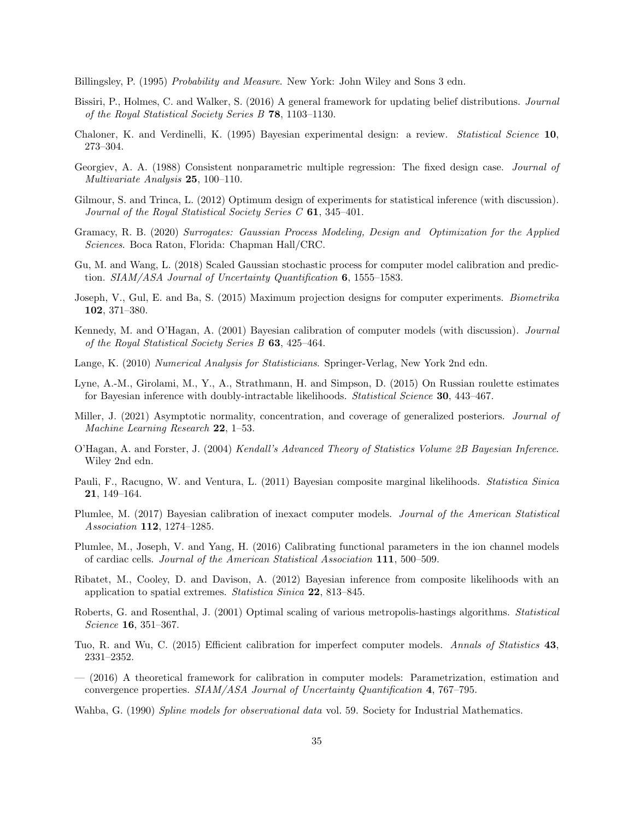<span id="page-34-12"></span>Billingsley, P. (1995) Probability and Measure. New York: John Wiley and Sons 3 edn.

- <span id="page-34-5"></span>Bissiri, P., Holmes, C. and Walker, S. (2016) A general framework for updating belief distributions. Journal of the Royal Statistical Society Series B 78, 1103–1130.
- <span id="page-34-19"></span>Chaloner, K. and Verdinelli, K. (1995) Bayesian experimental design: a review. Statistical Science 10, 273–304.
- <span id="page-34-10"></span>Georgiev, A. A. (1988) Consistent nonparametric multiple regression: The fixed design case. Journal of Multivariate Analysis 25, 100–110.
- <span id="page-34-18"></span>Gilmour, S. and Trinca, L. (2012) Optimum design of experiments for statistical inference (with discussion). Journal of the Royal Statistical Society Series C 61, 345–401.
- <span id="page-34-17"></span>Gramacy, R. B. (2020) Surrogates: Gaussian Process Modeling, Design and Optimization for the Applied Sciences. Boca Raton, Florida: Chapman Hall/CRC.
- <span id="page-34-4"></span>Gu, M. and Wang, L. (2018) Scaled Gaussian stochastic process for computer model calibration and prediction. SIAM/ASA Journal of Uncertainty Quantification 6, 1555–1583.
- <span id="page-34-15"></span>Joseph, V., Gul, E. and Ba, S. (2015) Maximum projection designs for computer experiments. Biometrika 102, 371–380.
- <span id="page-34-1"></span>Kennedy, M. and O'Hagan, A. (2001) Bayesian calibration of computer models (with discussion). Journal of the Royal Statistical Society Series B 63, 425–464.
- <span id="page-34-6"></span>Lange, K. (2010) Numerical Analysis for Statisticians. Springer-Verlag, New York 2nd edn.
- <span id="page-34-20"></span>Lyne, A.-M., Girolami, M., Y., A., Strathmann, H. and Simpson, D. (2015) On Russian roulette estimates for Bayesian inference with doubly-intractable likelihoods. *Statistical Science* **30**, 443–467.
- <span id="page-34-11"></span>Miller, J. (2021) Asymptotic normality, concentration, and coverage of generalized posteriors. Journal of Machine Learning Research 22, 1–53.
- <span id="page-34-13"></span>O'Hagan, A. and Forster, J. (2004) Kendall's Advanced Theory of Statistics Volume 2B Bayesian Inference. Wiley 2nd edn.
- <span id="page-34-8"></span>Pauli, F., Racugno, W. and Ventura, L. (2011) Bayesian composite marginal likelihoods. Statistica Sinica 21, 149–164.
- <span id="page-34-0"></span>Plumlee, M. (2017) Bayesian calibration of inexact computer models. Journal of the American Statistical Association 112, 1274–1285.
- <span id="page-34-16"></span>Plumlee, M., Joseph, V. and Yang, H. (2016) Calibrating functional parameters in the ion channel models of cardiac cells. Journal of the American Statistical Association 111, 500–509.
- <span id="page-34-9"></span>Ribatet, M., Cooley, D. and Davison, A. (2012) Bayesian inference from composite likelihoods with an application to spatial extremes. Statistica Sinica 22, 813–845.
- <span id="page-34-14"></span>Roberts, G. and Rosenthal, J. (2001) Optimal scaling of various metropolis-hastings algorithms. Statistical Science 16, 351–367.
- <span id="page-34-3"></span>Tuo, R. and Wu, C. (2015) Efficient calibration for imperfect computer models. Annals of Statistics 43, 2331–2352.
- <span id="page-34-2"></span>— (2016) A theoretical framework for calibration in computer models: Parametrization, estimation and convergence properties. SIAM/ASA Journal of Uncertainty Quantification 4, 767–795.
- <span id="page-34-7"></span>Wahba, G. (1990) Spline models for observational data vol. 59. Society for Industrial Mathematics.